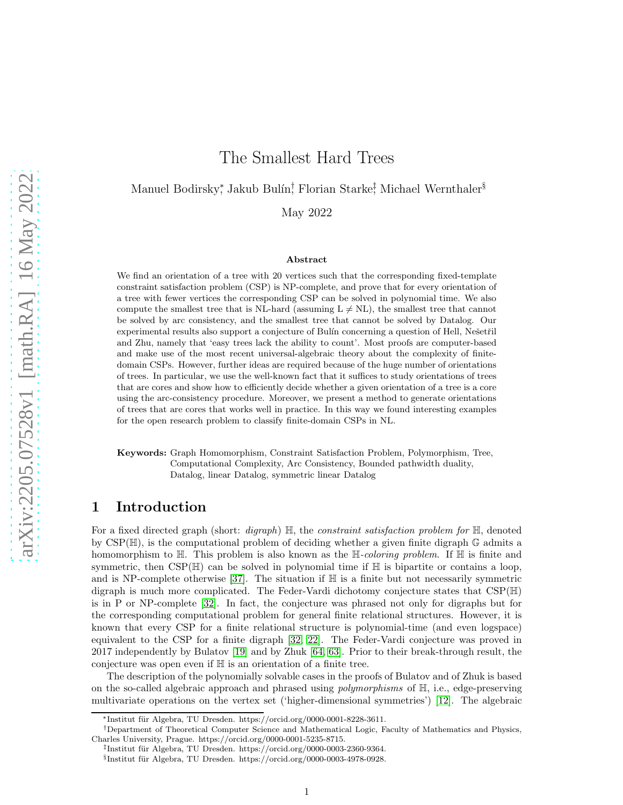# The Smallest Hard Trees

## Manuel Bodirsky<sup>\*</sup>, Jakub Bulín<sup>†</sup>, Florian Starke<sup>‡</sup>, Michael Wernthaler<sup>§</sup>

May 2022

#### Abstract

We find an orientation of a tree with 20 vertices such that the corresponding fixed-template constraint satisfaction problem (CSP) is NP-complete, and prove that for every orientation of a tree with fewer vertices the corresponding CSP can be solved in polynomial time. We also compute the smallest tree that is NL-hard (assuming  $L \neq NL$ ), the smallest tree that cannot be solved by arc consistency, and the smallest tree that cannot be solved by Datalog. Our experimental results also support a conjecture of Bulín concerning a question of Hell, Nešetřil and Zhu, namely that 'easy trees lack the ability to count'. Most proofs are computer-based and make use of the most recent universal-algebraic theory about the complexity of finitedomain CSPs. However, further ideas are required because of the huge number of orientations of trees. In particular, we use the well-known fact that it suffices to study orientations of trees that are cores and show how to efficiently decide whether a given orientation of a tree is a core using the arc-consistency procedure. Moreover, we present a method to generate orientations of trees that are cores that works well in practice. In this way we found interesting examples for the open research problem to classify finite-domain CSPs in NL.

Keywords: Graph Homomorphism, Constraint Satisfaction Problem, Polymorphism, Tree, Computational Complexity, Arc Consistency, Bounded pathwidth duality, Datalog, linear Datalog, symmetric linear Datalog

### 1 Introduction

For a fixed directed graph (short: *digraph*) H, the *constraint satisfaction problem for* H, denoted by  $CSP(\mathbb{H})$ , is the computational problem of deciding whether a given finite digraph  $\mathbb{G}$  admits a homomorphism to H. This problem is also known as the H*-coloring problem*. If H is finite and symmetric, then  $CSP(\mathbb{H})$  can be solved in polynomial time if  $\mathbb{H}$  is bipartite or contains a loop, and is NP-complete otherwise [\[37\]](#page-26-0). The situation if  $\mathbb H$  is a finite but not necessarily symmetric digraph is much more complicated. The Feder-Vardi dichotomy conjecture states that CSP(H) is in P or NP-complete [\[32\]](#page-26-1). In fact, the conjecture was phrased not only for digraphs but for the corresponding computational problem for general finite relational structures. However, it is known that every CSP for a finite relational structure is polynomial-time (and even logspace) equivalent to the CSP for a finite digraph [\[32,](#page-26-1) [22\]](#page-25-0). The Feder-Vardi conjecture was proved in 2017 independently by Bulatov [\[19\]](#page-25-1) and by Zhuk [\[64,](#page-27-0) [63\]](#page-27-1). Prior to their break-through result, the conjecture was open even if H is an orientation of a finite tree.

The description of the polynomially solvable cases in the proofs of Bulatov and of Zhuk is based on the so-called algebraic approach and phrased using *polymorphisms* of H, i.e., edge-preserving multivariate operations on the vertex set ('higher-dimensional symmetries') [\[12\]](#page-25-2). The algebraic

<sup>\*</sup>Institut für Algebra, TU Dresden. https://orcid.org/0000-0001-8228-3611.

<sup>†</sup>Department of Theoretical Computer Science and Mathematical Logic, Faculty of Mathematics and Physics, Charles University, Prague. https://orcid.org/0000-0001-5235-8715.

<sup>&</sup>lt;sup>‡</sup>Institut für Algebra, TU Dresden. https://orcid.org/0000-0003-2360-9364.

<sup>§</sup>Institut für Algebra, TU Dresden. https://orcid.org/0000-0003-4978-0928.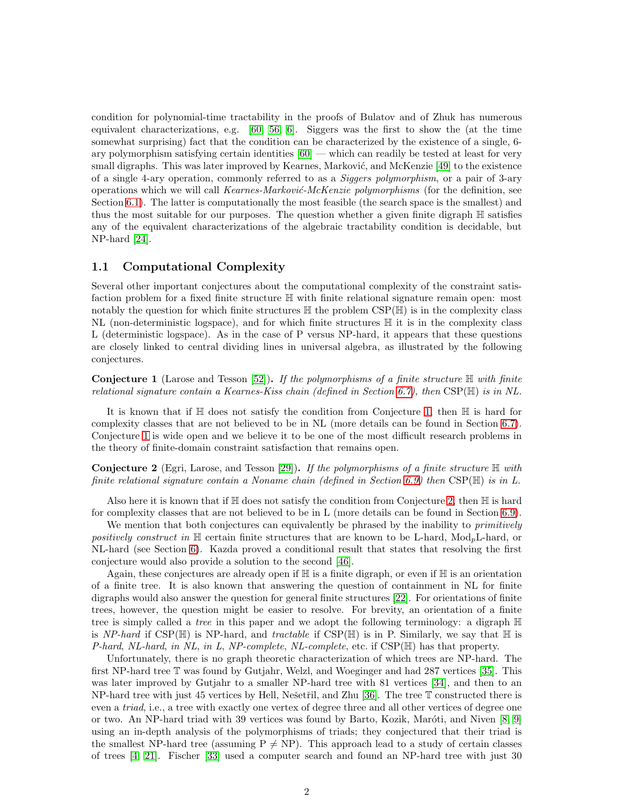condition for polynomial-time tractability in the proofs of Bulatov and of Zhuk has numerous equivalent characterizations, e.g. [\[60,](#page-27-2) [56,](#page-27-3) [6\]](#page-24-0). Siggers was the first to show the (at the time somewhat surprising) fact that the condition can be characterized by the existence of a single, 6 ary polymorphism satisfying certain identities [\[60\]](#page-27-2) — which can readily be tested at least for very small digraphs. This was later improved by Kearnes, Marković, and McKenzie [\[49\]](#page-27-4) to the existence of a single 4-ary operation, commonly referred to as a *Siggers polymorphism*, or a pair of 3-ary operations which we will call *Kearnes-Markovi´c-McKenzie polymorphisms* (for the definition, see Section [6.1\)](#page-13-0). The latter is computationally the most feasible (the search space is the smallest) and thus the most suitable for our purposes. The question whether a given finite digraph H satisfies any of the equivalent characterizations of the algebraic tractability condition is decidable, but NP-hard [\[24\]](#page-25-3).

#### 1.1 Computational Complexity

Several other important conjectures about the computational complexity of the constraint satisfaction problem for a fixed finite structure H with finite relational signature remain open: most notably the question for which finite structures  $\mathbb H$  the problem CSP( $\mathbb H$ ) is in the complexity class NL (non-deterministic logspace), and for which finite structures H it is in the complexity class L (deterministic logspace). As in the case of P versus NP-hard, it appears that these questions are closely linked to central dividing lines in universal algebra, as illustrated by the following conjectures.

<span id="page-1-0"></span>Conjecture 1 (Larose and Tesson [\[52\]](#page-27-5)). *If the polymorphisms of a finite structure* H *with finite relational signature contain a Kearnes-Kiss chain (defined in Section [6.7\)](#page-16-0), then* CSP(H) *is in NL.*

It is known that if H does not satisfy the condition from Conjecture [1,](#page-1-0) then H is hard for complexity classes that are not believed to be in NL (more details can be found in Section [6.7\)](#page-16-0). Conjecture [1](#page-1-0) is wide open and we believe it to be one of the most difficult research problems in the theory of finite-domain constraint satisfaction that remains open.

<span id="page-1-1"></span>Conjecture 2 (Egri, Larose, and Tesson [\[29\]](#page-26-2)). *If the polymorphisms of a finite structure* H *with finite relational signature contain a Noname chain (defined in Section [6.9\)](#page-17-0) then* CSP(H) *is in L.*

Also here it is known that if  $\mathbb H$  does not satisfy the condition from Conjecture [2,](#page-1-1) then  $\mathbb H$  is hard for complexity classes that are not believed to be in L (more details can be found in Section [6.9\)](#page-17-0).

We mention that both conjectures can equivalently be phrased by the inability to *primitively positively construct in*  $\mathbb{H}$  certain finite structures that are known to be L-hard, Mod<sub>p</sub>L-hard, or NL-hard (see Section [6\)](#page-11-0). Kazda proved a conditional result that states that resolving the first conjecture would also provide a solution to the second [\[46\]](#page-26-3).

Again, these conjectures are already open if H is a finite digraph, or even if H is an orientation of a finite tree. It is also known that answering the question of containment in NL for finite digraphs would also answer the question for general finite structures [\[22\]](#page-25-0). For orientations of finite trees, however, the question might be easier to resolve. For brevity, an orientation of a finite tree is simply called a *tree* in this paper and we adopt the following terminology: a digraph H is *NP-hard* if CSP( $\mathbb{H}$ ) is NP-hard, and *tractable* if CSP( $\mathbb{H}$ ) is in P. Similarly, we say that  $\mathbb{H}$  is *P-hard*, *NL-hard*, *in NL*, *in L*, *NP-complete*, *NL-complete*, etc. if CSP(H) has that property.

Unfortunately, there is no graph theoretic characterization of which trees are NP-hard. The first NP-hard tree T was found by Gutjahr, Welzl, and Woeginger and had 287 vertices [\[35\]](#page-26-4). This was later improved by Gutjahr to a smaller NP-hard tree with 81 vertices [\[34\]](#page-26-5), and then to an NP-hard tree with just 45 vertices by Hell, Nešetřil, and Zhu  $[36]$ . The tree  $\mathbb T$  constructed there is even a *triad*, i.e., a tree with exactly one vertex of degree three and all other vertices of degree one or two. An NP-hard triad with 39 vertices was found by Barto, Kozik, Maróti, and Niven [\[8,](#page-24-1) [9\]](#page-25-4) using an in-depth analysis of the polymorphisms of triads; they conjectured that their triad is the smallest NP-hard tree (assuming  $P \neq NP$ ). This approach lead to a study of certain classes of trees [\[4,](#page-24-2) [21\]](#page-25-5). Fischer [\[33\]](#page-26-7) used a computer search and found an NP-hard tree with just 30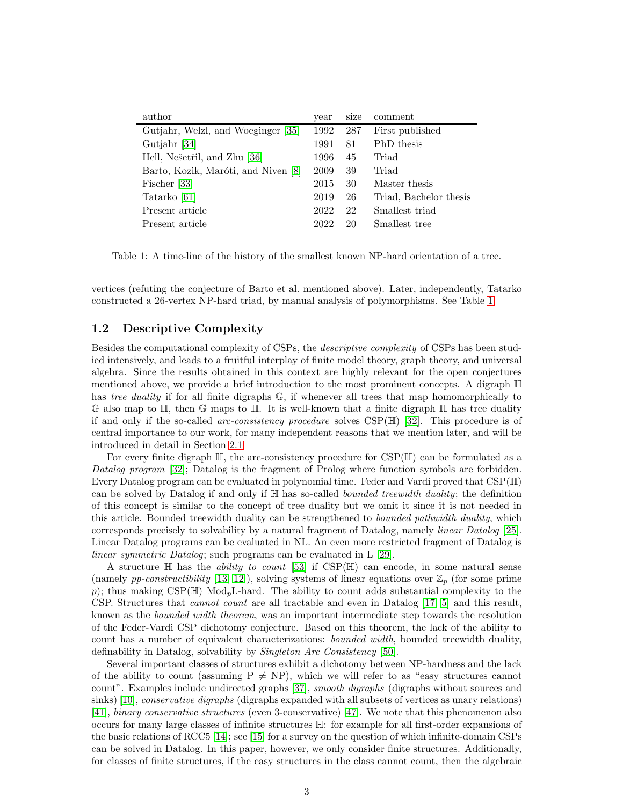| author                              | year | size | comment                |
|-------------------------------------|------|------|------------------------|
| Gutjahr, Welzl, and Woeginger [35]  | 1992 | 287  | First published        |
| Gutjahr [34]                        | 1991 | 81   | PhD thesis             |
| Hell, Nešetřil, and Zhu [36]        | 1996 | 45   | Triad                  |
| Barto, Kozik, Maróti, and Niven [8] | 2009 | 39   | Triad                  |
| Fischer [33]                        | 2015 | 30   | Master thesis          |
| Tatarko [61]                        | 2019 | 26   | Triad, Bachelor thesis |
| Present article                     | 2022 | 22   | Smallest triad         |
| Present article                     | 2022 | 20   | Smallest tree          |

<span id="page-2-0"></span>Table 1: A time-line of the history of the smallest known NP-hard orientation of a tree.

vertices (refuting the conjecture of Barto et al. mentioned above). Later, independently, Tatarko constructed a 26-vertex NP-hard triad, by manual analysis of polymorphisms. See Table [1.](#page-2-0)

#### 1.2 Descriptive Complexity

Besides the computational complexity of CSPs, the *descriptive complexity* of CSPs has been studied intensively, and leads to a fruitful interplay of finite model theory, graph theory, and universal algebra. Since the results obtained in this context are highly relevant for the open conjectures mentioned above, we provide a brief introduction to the most prominent concepts. A digraph H has *tree duality* if for all finite digraphs  $\mathbb{G}$ , if whenever all trees that map homomorphically to  $\mathbb G$  also map to  $\mathbb H$ , then  $\mathbb G$  maps to  $\mathbb H$ . It is well-known that a finite digraph  $\mathbb H$  has tree duality if and only if the so-called *arc-consistency procedure* solves CSP(H) [\[32\]](#page-26-1). This procedure is of central importance to our work, for many independent reasons that we mention later, and will be introduced in detail in Section [2.1.](#page-5-0)

For every finite digraph  $\mathbb{H}$ , the arc-consistency procedure for  $CSP(\mathbb{H})$  can be formulated as a *Datalog program* [\[32\]](#page-26-1); Datalog is the fragment of Prolog where function symbols are forbidden. Every Datalog program can be evaluated in polynomial time. Feder and Vardi proved that CSP(H) can be solved by Datalog if and only if H has so-called *bounded treewidth duality*; the definition of this concept is similar to the concept of tree duality but we omit it since it is not needed in this article. Bounded treewidth duality can be strengthened to *bounded pathwidth duality*, which corresponds precisely to solvability by a natural fragment of Datalog, namely *linear Datalog* [\[25\]](#page-25-6). Linear Datalog programs can be evaluated in NL. An even more restricted fragment of Datalog is *linear symmetric Datalog*; such programs can be evaluated in L [\[29\]](#page-26-2).

A structure H has the *ability to count* [\[53\]](#page-27-7) if CSP(H) can encode, in some natural sense (namely *pp-constructibility* [\[13,](#page-25-7) [12\]](#page-25-2)), solving systems of linear equations over  $\mathbb{Z}_p$  (for some prime p); thus making  $CSP(\mathbb{H})$  Mod<sub>p</sub>L-hard. The ability to count adds substantial complexity to the CSP. Structures that *cannot count* are all tractable and even in Datalog [\[17,](#page-25-8) [5\]](#page-24-3) and this result, known as the *bounded width theorem*, was an important intermediate step towards the resolution of the Feder-Vardi CSP dichotomy conjecture. Based on this theorem, the lack of the ability to count has a number of equivalent characterizations: *bounded width*, bounded treewidth duality, definability in Datalog, solvability by *Singleton Arc Consistency* [\[50\]](#page-27-8).

Several important classes of structures exhibit a dichotomy between NP-hardness and the lack of the ability to count (assuming  $P \neq NP$ ), which we will refer to as "easy structures cannot count". Examples include undirected graphs [\[37\]](#page-26-0), *smooth digraphs* (digraphs without sources and sinks) [\[10\]](#page-25-9), *conservative digraphs* (digraphs expanded with all subsets of vertices as unary relations) [\[41\]](#page-26-8), *binary conservative structures* (even 3-conservative) [\[47\]](#page-27-9). We note that this phenomenon also occurs for many large classes of infinite structures H: for example for all first-order expansions of the basic relations of RCC5 [\[14\]](#page-25-10); see [\[15\]](#page-25-11) for a survey on the question of which infinite-domain CSPs can be solved in Datalog. In this paper, however, we only consider finite structures. Additionally, for classes of finite structures, if the easy structures in the class cannot count, then the algebraic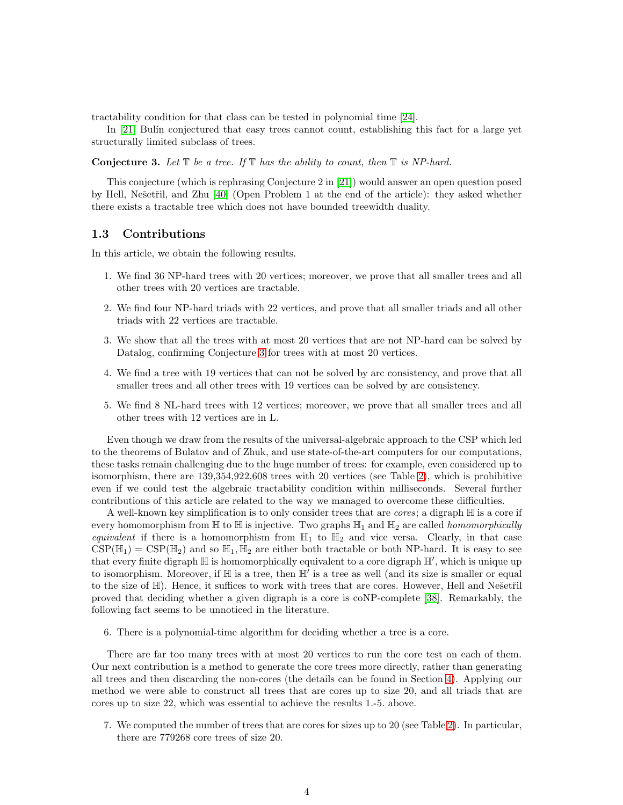tractability condition for that class can be tested in polynomial time [\[24\]](#page-25-3).

In [\[21\]](#page-25-5) Bulín conjectured that easy trees cannot count, establishing this fact for a large yet structurally limited subclass of trees.

<span id="page-3-0"></span>**Conjecture 3.** Let  $\mathbb{T}$  be a tree. If  $\mathbb{T}$  has the ability to count, then  $\mathbb{T}$  is NP-hard.

This conjecture (which is rephrasing Conjecture 2 in [\[21\]](#page-25-5)) would answer an open question posed by Hell, Nešetřil, and Zhu [\[40\]](#page-26-9) (Open Problem 1 at the end of the article): they asked whether there exists a tractable tree which does not have bounded treewidth duality.

#### <span id="page-3-1"></span>1.3 Contributions

In this article, we obtain the following results.

- 1. We find 36 NP-hard trees with 20 vertices; moreover, we prove that all smaller trees and all other trees with 20 vertices are tractable.
- 2. We find four NP-hard triads with 22 vertices, and prove that all smaller triads and all other triads with 22 vertices are tractable.
- 3. We show that all the trees with at most 20 vertices that are not NP-hard can be solved by Datalog, confirming Conjecture [3](#page-3-0) for trees with at most 20 vertices.
- 4. We find a tree with 19 vertices that can not be solved by arc consistency, and prove that all smaller trees and all other trees with 19 vertices can be solved by arc consistency.
- 5. We find 8 NL-hard trees with 12 vertices; moreover, we prove that all smaller trees and all other trees with 12 vertices are in L.

Even though we draw from the results of the universal-algebraic approach to the CSP which led to the theorems of Bulatov and of Zhuk, and use state-of-the-art computers for our computations, these tasks remain challenging due to the huge number of trees: for example, even considered up to isomorphism, there are 139,354,922,608 trees with 20 vertices (see Table [2\)](#page-18-0), which is prohibitive even if we could test the algebraic tractability condition within milliseconds. Several further contributions of this article are related to the way we managed to overcome these difficulties.

A well-known key simplification is to only consider trees that are *cores*; a digraph H is a core if every homomorphism from  $\mathbb H$  to  $\mathbb H$  is injective. Two graphs  $\mathbb H_1$  and  $\mathbb H_2$  are called *homomorphically equivalent* if there is a homomorphism from  $\mathbb{H}_1$  to  $\mathbb{H}_2$  and vice versa. Clearly, in that case  $CSP(\mathbb{H}_1) = CSP(\mathbb{H}_2)$  and so  $\mathbb{H}_1, \mathbb{H}_2$  are either both tractable or both NP-hard. It is easy to see that every finite digraph  $\mathbb H$  is homomorphically equivalent to a core digraph  $\mathbb H'$ , which is unique up to isomorphism. Moreover, if  $\mathbb H$  is a tree, then  $\mathbb H'$  is a tree as well (and its size is smaller or equal to the size of  $H$ ). Hence, it suffices to work with trees that are cores. However, Hell and Nešetřil proved that deciding whether a given digraph is a core is coNP-complete [\[38\]](#page-26-10). Remarkably, the following fact seems to be unnoticed in the literature.

6. There is a polynomial-time algorithm for deciding whether a tree is a core.

There are far too many trees with at most 20 vertices to run the core test on each of them. Our next contribution is a method to generate the core trees more directly, rather than generating all trees and then discarding the non-cores (the details can be found in Section [4\)](#page-7-0). Applying our method we were able to construct all trees that are cores up to size 20, and all triads that are cores up to size 22, which was essential to achieve the results 1.-5. above.

7. We computed the number of trees that are cores for sizes up to 20 (see Table [2\)](#page-18-0). In particular, there are 779268 core trees of size 20.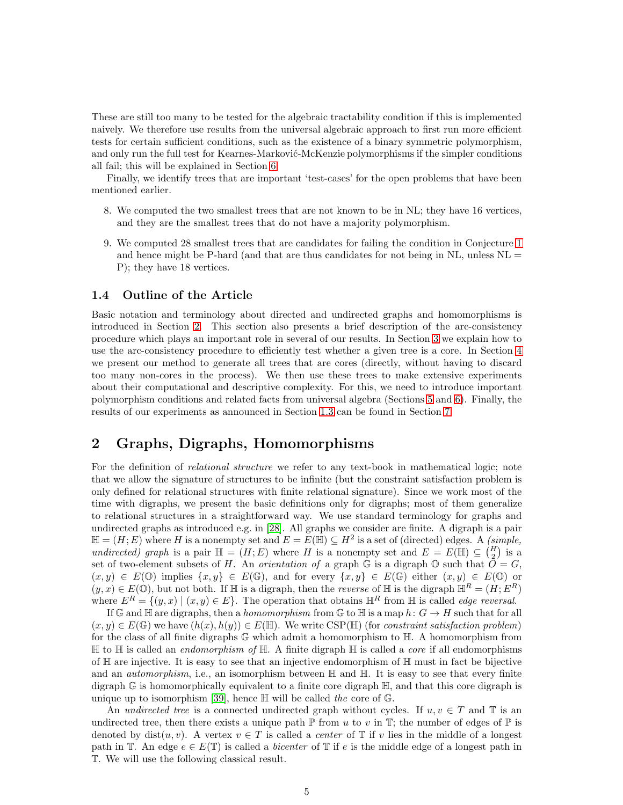These are still too many to be tested for the algebraic tractability condition if this is implemented naively. We therefore use results from the universal algebraic approach to first run more efficient tests for certain sufficient conditions, such as the existence of a binary symmetric polymorphism, and only run the full test for Kearnes-Marković-McKenzie polymorphisms if the simpler conditions all fail; this will be explained in Section [6.](#page-11-0)

Finally, we identify trees that are important 'test-cases' for the open problems that have been mentioned earlier.

- 8. We computed the two smallest trees that are not known to be in NL; they have 16 vertices, and they are the smallest trees that do not have a majority polymorphism.
- 9. We computed 28 smallest trees that are candidates for failing the condition in Conjecture [1](#page-1-0) and hence might be P-hard (and that are thus candidates for not being in  $NL$ , unless  $NL =$ P); they have 18 vertices.

#### 1.4 Outline of the Article

Basic notation and terminology about directed and undirected graphs and homomorphisms is introduced in Section [2.](#page-4-0) This section also presents a brief description of the arc-consistency procedure which plays an important role in several of our results. In Section [3](#page-6-0) we explain how to use the arc-consistency procedure to efficiently test whether a given tree is a core. In Section [4](#page-7-0) we present our method to generate all trees that are cores (directly, without having to discard too many non-cores in the process). We then use these trees to make extensive experiments about their computational and descriptive complexity. For this, we need to introduce important polymorphism conditions and related facts from universal algebra (Sections [5](#page-8-0) and [6\)](#page-11-0). Finally, the results of our experiments as announced in Section [1.3](#page-3-1) can be found in Section [7.](#page-17-1)

## <span id="page-4-0"></span>2 Graphs, Digraphs, Homomorphisms

For the definition of *relational structure* we refer to any text-book in mathematical logic; note that we allow the signature of structures to be infinite (but the constraint satisfaction problem is only defined for relational structures with finite relational signature). Since we work most of the time with digraphs, we present the basic definitions only for digraphs; most of them generalize to relational structures in a straightforward way. We use standard terminology for graphs and undirected graphs as introduced e.g. in [\[28\]](#page-26-11). All graphs we consider are finite. A digraph is a pair  $\mathbb{H} = (H; E)$  where H is a nonempty set and  $E = E(\mathbb{H}) \subseteq H^2$  is a set of (directed) edges. A *(simple, undirected)* graph is a pair  $\mathbb{H} = (H, E)$  where H is a nonempty set and  $E = E(\mathbb{H}) \subseteq {H \choose 2}$  is a set of two-element subsets of H. An *orientation of* a graph  $\mathbb G$  is a digraph  $\mathbb O$  such that  $\tilde{O} = G$ ,  $(x, y) \in E(\mathbb{O})$  implies  $\{x, y\} \in E(\mathbb{G})$ , and for every  $\{x, y\} \in E(\mathbb{G})$  either  $(x, y) \in E(\mathbb{O})$  or  $(y, x) \in E(\mathbb{O})$ , but not both. If H is a digraph, then the *reverse* of H is the digraph  $\mathbb{H}^R = (H, E^R)$ where  $E^R = \{(y, x) \mid (x, y) \in E\}$ . The operation that obtains  $\mathbb{H}^R$  from  $\mathbb H$  is called *edge reversal*.

If G and  $\mathbb H$  are digraphs, then a *homomorphism* from G to  $\mathbb H$  is a map  $h: G \to H$  such that for all  $(x, y) \in E(\mathbb{G})$  we have  $(h(x), h(y)) \in E(\mathbb{H})$ . We write CSP( $\mathbb{H}$ ) (for *constraint satisfaction problem*) for the class of all finite digraphs G which admit a homomorphism to H. A homomorphism from H to H is called an *endomorphism of* H. A finite digraph H is called a *core* if all endomorphisms of  $\mathbb H$  are injective. It is easy to see that an injective endomorphism of  $\mathbb H$  must in fact be bijective and an *automorphism*, i.e., an isomorphism between  $\mathbb H$  and  $\mathbb H$ . It is easy to see that every finite digraph  $\mathbb{G}$  is homomorphically equivalent to a finite core digraph  $\mathbb{H}$ , and that this core digraph is unique up to isomorphism [\[39\]](#page-26-12), hence H will be called *the* core of G.

An *undirected tree* is a connected undirected graph without cycles. If  $u, v \in T$  and T is an undirected tree, then there exists a unique path  $\mathbb P$  from u to v in  $\mathbb T$ ; the number of edges of  $\mathbb P$  is denoted by  $dist(u, v)$ . A vertex  $v \in T$  is called a *center* of  $\mathbb T$  if v lies in the middle of a longest path in  $\mathbb{T}$ . An edge  $e \in E(\mathbb{T})$  is called a *bicenter* of  $\mathbb{T}$  if e is the middle edge of a longest path in T. We will use the following classical result.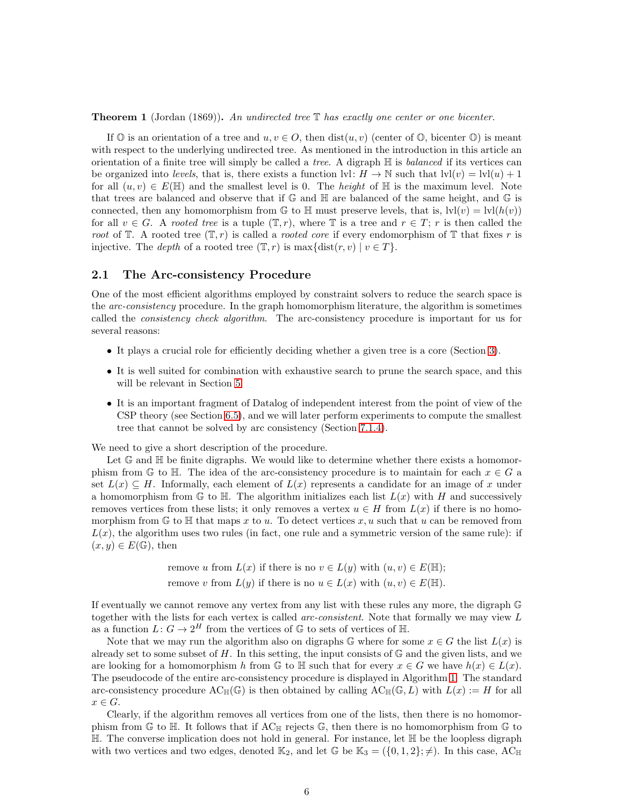<span id="page-5-1"></span>Theorem 1 (Jordan (1869)). *An undirected tree* T *has exactly one center or one bicenter.*

If  $\mathbb{O}$  is an orientation of a tree and  $u, v \in O$ , then  $dist(u, v)$  (center of  $\mathbb{O}$ , bicenter  $\mathbb{O}$ ) is meant with respect to the underlying undirected tree. As mentioned in the introduction in this article an orientation of a finite tree will simply be called a *tree*. A digraph H is *balanced* if its vertices can be organized into *levels*, that is, there exists a function  $|v|: H \to \mathbb{N}$  such that  $|v|(v) = |v|(u) + 1$ for all  $(u, v) \in E(\mathbb{H})$  and the smallest level is 0. The *height* of  $\mathbb{H}$  is the maximum level. Note that trees are balanced and observe that if  $\mathbb{G}$  and  $\mathbb{H}$  are balanced of the same height, and  $\mathbb{G}$  is connected, then any homomorphism from G to H must preserve levels, that is,  $\text{lvl}(v) = \text{lvl}(h(v))$ for all  $v \in G$ . A *rooted tree* is a tuple  $(\mathbb{T}, r)$ , where  $\mathbb{T}$  is a tree and  $r \in T$ ; r is then called the *root* of  $\mathbb{T}$ . A rooted tree  $(\mathbb{T}, r)$  is called a *rooted core* if every endomorphism of  $\mathbb{T}$  that fixes r is injective. The *depth* of a rooted tree  $(T, r)$  is max $\{dist(r, v) | v \in T\}$ .

#### <span id="page-5-0"></span>2.1 The Arc-consistency Procedure

One of the most efficient algorithms employed by constraint solvers to reduce the search space is the *arc-consistency* procedure. In the graph homomorphism literature, the algorithm is sometimes called the *consistency check algorithm*. The arc-consistency procedure is important for us for several reasons:

- It plays a crucial role for efficiently deciding whether a given tree is a core (Section [3\)](#page-6-0).
- It is well suited for combination with exhaustive search to prune the search space, and this will be relevant in Section [5.](#page-8-0)
- It is an important fragment of Datalog of independent interest from the point of view of the CSP theory (see Section [6.5\)](#page-15-0), and we will later perform experiments to compute the smallest tree that cannot be solved by arc consistency (Section [7.1.4\)](#page-21-0).

We need to give a short description of the procedure.

Let  $\mathbb{G}$  and  $\mathbb{H}$  be finite digraphs. We would like to determine whether there exists a homomorphism from G to H. The idea of the arc-consistency procedure is to maintain for each  $x \in G$  a set  $L(x) \subseteq H$ . Informally, each element of  $L(x)$  represents a candidate for an image of x under a homomorphism from G to H. The algorithm initializes each list  $L(x)$  with H and successively removes vertices from these lists; it only removes a vertex  $u \in H$  from  $L(x)$  if there is no homomorphism from  $\mathbb{G}$  to  $\mathbb{H}$  that maps x to u. To detect vertices x, u such that u can be removed from  $L(x)$ , the algorithm uses two rules (in fact, one rule and a symmetric version of the same rule): if  $(x, y) \in E(\mathbb{G}),$  then

> remove u from  $L(x)$  if there is no  $v \in L(y)$  with  $(u, v) \in E(\mathbb{H});$ remove v from  $L(y)$  if there is no  $u \in L(x)$  with  $(u, v) \in E(\mathbb{H})$ .

If eventually we cannot remove any vertex from any list with these rules any more, the digraph G together with the lists for each vertex is called *arc-consistent*. Note that formally we may view L as a function  $L: G \to 2^H$  from the vertices of  $\mathbb{G}$  to sets of vertices of  $\mathbb{H}$ .

Note that we may run the algorithm also on digraphs G where for some  $x \in G$  the list  $L(x)$  is already set to some subset of H. In this setting, the input consists of  $\mathbb{G}$  and the given lists, and we are looking for a homomorphism h from G to  $\mathbb H$  such that for every  $x \in G$  we have  $h(x) \in L(x)$ . The pseudocode of the entire arc-consistency procedure is displayed in Algorithm [1.](#page-6-1) The standard arc-consistency procedure  $AC_{\mathbb{H}}(\mathbb{G})$  is then obtained by calling  $AC_{\mathbb{H}}(\mathbb{G}, L)$  with  $L(x) := H$  for all  $x \in G$ .

Clearly, if the algorithm removes all vertices from one of the lists, then there is no homomorphism from  $\mathbb{G}$  to  $\mathbb{H}$ . It follows that if  $AC_{\mathbb{H}}$  rejects  $\mathbb{G}$ , then there is no homomorphism from  $\mathbb{G}$  to  $\mathbb H$ . The converse implication does not hold in general. For instance, let  $\mathbb H$  be the loopless digraph with two vertices and two edges, denoted  $\mathbb{K}_2$ , and let  $\mathbb{G}$  be  $\mathbb{K}_3 = (\{0, 1, 2\}; \neq)$ . In this case, AC<sub>H</sub>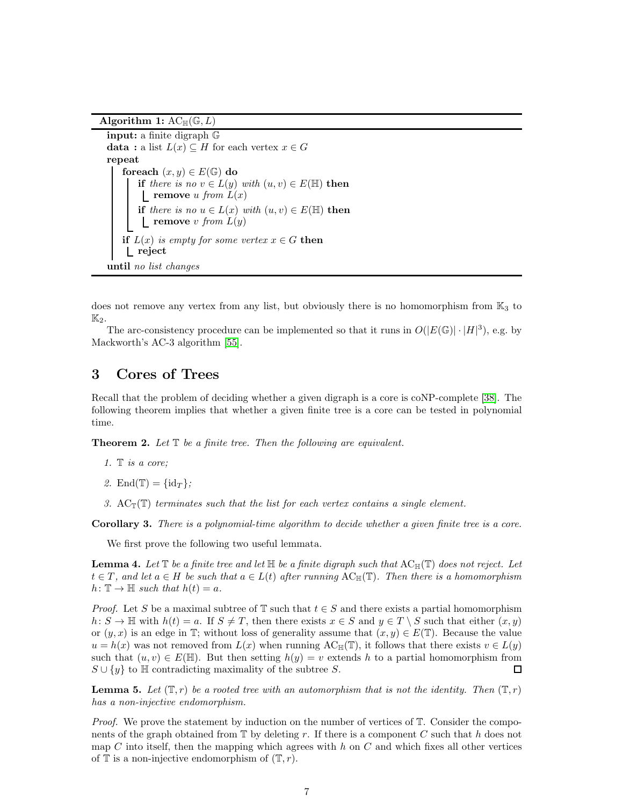Algorithm 1:  $AC_{\mathbb{H}}(\mathbb{G},L)$ 

```
input: a finite digraph G
data: a list L(x) \subseteq H for each vertex x \in Grepeat
    foreach (x, y) \in E(\mathbb{G}) do
       if there is no v \in L(y) with (u, v) \in E(\mathbb{H}) then
        \mathbf{r} remove u from L(x)if there is no u \in L(x) with (u, v) \in E(\mathbb{H}) then
        \Box remove v from L(y)if L(x) is empty for some vertex x \in G then
    reject
until no list changes
```
does not remove any vertex from any list, but obviously there is no homomorphism from  $\mathbb{K}_3$  to  $\mathbb{K}_2$ .

The arc-consistency procedure can be implemented so that it runs in  $O(|E(\mathbb{G})| \cdot |H|^3)$ , e.g. by Mackworth's AC-3 algorithm [\[55\]](#page-27-10).

## <span id="page-6-0"></span>3 Cores of Trees

Recall that the problem of deciding whether a given digraph is a core is coNP-complete [\[38\]](#page-26-10). The following theorem implies that whether a given finite tree is a core can be tested in polynomial time.

<span id="page-6-2"></span>Theorem 2. *Let* T *be a finite tree. Then the following are equivalent.*

- *1.* T *is a core;*
- 2. End(T) =  $\{id_T\}$ ;
- 3.  $\text{AC}_{\mathbb{F}}(\mathbb{T})$  *terminates such that the list for each vertex contains a single element.*

<span id="page-6-5"></span>Corollary 3. *There is a polynomial-time algorithm to decide whether a given finite tree is a core.*

We first prove the following two useful lemmata.

<span id="page-6-4"></span>**Lemma 4.** Let  $\mathbb T$  be a finite tree and let  $\mathbb H$  be a finite digraph such that  $AC_{\mathbb H}(\mathbb T)$  does not reject. Let  $t \in T$ , and let  $a \in H$  be such that  $a \in L(t)$  after running  $AC_{\mathbb{H}}(\mathbb{T})$ . Then there is a homomorphism  $h: \mathbb{T} \to \mathbb{H}$  *such that*  $h(t) = a$ .

*Proof.* Let S be a maximal subtree of  $\mathbb{T}$  such that  $t \in S$  and there exists a partial homomorphism  $h: S \to \mathbb{H}$  with  $h(t) = a$ . If  $S \neq T$ , then there exists  $x \in S$  and  $y \in T \setminus S$  such that either  $(x, y)$ or  $(y, x)$  is an edge in T; without loss of generality assume that  $(x, y) \in E(T)$ . Because the value  $u = h(x)$  was not removed from  $L(x)$  when running  $AC_{\mathbb{H}}(\mathbb{T})$ , it follows that there exists  $v \in L(y)$ such that  $(u, v) \in E(\mathbb{H})$ . But then setting  $h(y) = v$  extends h to a partial homomorphism from  $S \cup \{y\}$  to  $\mathbb H$  contradicting maximality of the subtree S. □

<span id="page-6-3"></span>**Lemma 5.** Let  $(\mathbb{T}, r)$  be a rooted tree with an automorphism that is not the identity. Then  $(\mathbb{T}, r)$ *has a non-injective endomorphism.*

*Proof.* We prove the statement by induction on the number of vertices of  $T$ . Consider the components of the graph obtained from  $\mathbb T$  by deleting r. If there is a component C such that h does not map C into itself, then the mapping which agrees with  $h$  on C and which fixes all other vertices of  $\mathbb T$  is a non-injective endomorphism of  $(\mathbb T,r)$ .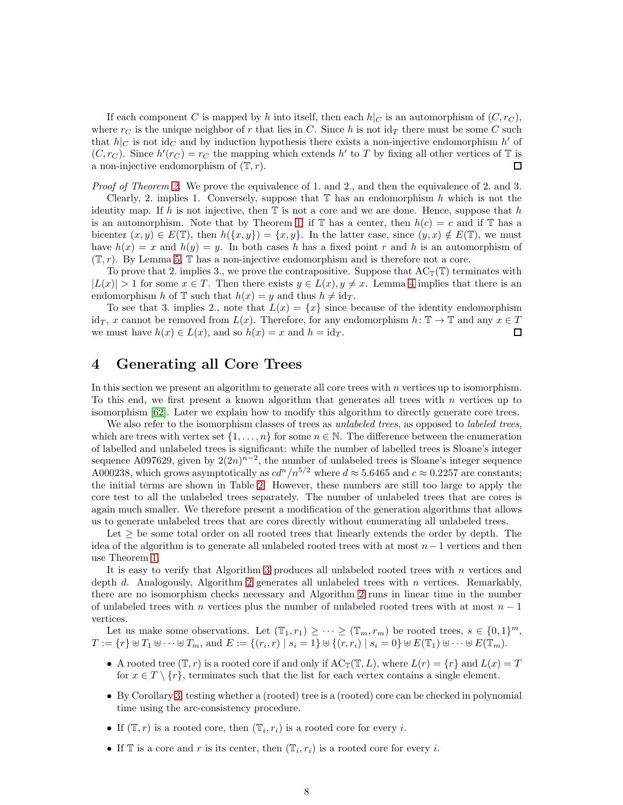If each component C is mapped by h into itself, then each  $h|_C$  is an automorphism of  $(C, r_C)$ , where  $r<sub>C</sub>$  is the unique neighbor of r that lies in C. Since h is not  $\mathrm{id}_{\mathcal{T}}$  there must be some C such that  $h|_C$  is not id<sub>C</sub> and by induction hypothesis there exists a non-injective endomorphism h' of  $(C, r_C)$ . Since  $h'(r_C) = r_C$  the mapping which extends h' to T by fixing all other vertices of T is a non-injective endomorphism of  $(\mathbb{T}, r)$ .  $\Box$ 

*Proof of Theorem [2.](#page-6-2)* We prove the equivalence of 1. and 2., and then the equivalence of 2. and 3.

Clearly, 2. implies 1. Conversely, suppose that  $\mathbb T$  has an endomorphism h which is not the identity map. If h is not injective, then  $\mathbb T$  is not a core and we are done. Hence, suppose that h is an automorphism. Note that by Theorem [1,](#page-5-1) if  $\mathbb T$  has a center, then  $h(c) = c$  and if  $\mathbb T$  has a bicenter  $(x, y) \in E(\mathbb{T})$ , then  $h({x, y}) = {x, y}$ . In the latter case, since  $(y, x) \notin E(\mathbb{T})$ , we must have  $h(x) = x$  and  $h(y) = y$ . In both cases h has a fixed point r and h is an automorphism of  $(\mathbb{T}, r)$ . By Lemma [5,](#page-6-3)  $\mathbb{T}$  has a non-injective endomorphism and is therefore not a core.

To prove that 2. implies 3., we prove the contrapositive. Suppose that  $AC_{\mathbb{F}}(\mathbb{T})$  terminates with  $|L(x)| > 1$  for some  $x \in T$ . Then there exists  $y \in L(x)$ ,  $y \neq x$ . Lemma [4](#page-6-4) implies that there is an endomorphism h of  $\mathbb T$  such that  $h(x) = y$  and thus  $h \neq id_T$ .

To see that 3. implies 2., note that  $L(x) = \{x\}$  since because of the identity endomorphism id<sub>T</sub>, x cannot be removed from  $L(x)$ . Therefore, for any endomorphism  $h: \mathbb{T} \to \mathbb{T}$  and any  $x \in T$ we must have  $h(x) \in L(x)$ , and so  $h(x) = x$  and  $h = id_T$ . 口

## <span id="page-7-0"></span>4 Generating all Core Trees

In this section we present an algorithm to generate all core trees with  $n$  vertices up to isomorphism. To this end, we first present a known algorithm that generates all trees with  $n$  vertices up to isomorphism [\[62\]](#page-27-11). Later we explain how to modify this algorithm to directly generate core trees.

We also refer to the isomorphism classes of trees as *unlabeled trees*, as opposed to *labeled trees*, which are trees with vertex set  $\{1, \ldots, n\}$  for some  $n \in \mathbb{N}$ . The difference between the enumeration of labelled and unlabeled trees is significant: while the number of labelled trees is Sloane's integer sequence A097629, given by  $2(2n)^{n-2}$ , the number of unlabeled trees is Sloane's integer sequence A000238, which grows asymptotically as  $c d^{n}/n^{5/2}$  where  $d \approx 5.6465$  and  $c \approx 0.2257$  are constants; the initial terms are shown in Table [2.](#page-18-0) However, these numbers are still too large to apply the core test to all the unlabeled trees separately. The number of unlabeled trees that are cores is again much smaller. We therefore present a modification of the generation algorithms that allows us to generate unlabeled trees that are cores directly without enumerating all unlabeled trees.

Let  $\geq$  be some total order on all rooted trees that linearly extends the order by depth. The idea of the algorithm is to generate all unlabeled rooted trees with at most  $n-1$  vertices and then use Theorem [1.](#page-5-1)

It is easy to verify that Algorithm [3](#page-9-0) produces all unlabeled rooted trees with  $n$  vertices and depth  $d$ . Analogously, Algorithm [2](#page-8-1) generates all unlabeled trees with  $n$  vertices. Remarkably, there are no isomorphism checks necessary and Algorithm [2](#page-8-1) runs in linear time in the number of unlabeled trees with n vertices plus the number of unlabeled rooted trees with at most  $n-1$ vertices.

Let us make some observations. Let  $(\mathbb{T}_1, r_1) \geq \cdots \geq (\mathbb{T}_m, r_m)$  be rooted trees,  $s \in \{0, 1\}^m$ ,  $T := \{r\} \uplus T_1 \uplus \cdots \uplus T_m \text{, and } E := \{(r_i, r) \mid s_i = 1\} \uplus \{(r, r_i) \mid s_i = 0\} \uplus E(\mathbb{T}_1) \uplus \cdots \uplus E(\mathbb{T}_m).$ 

- A rooted tree  $(\mathbb{T}, r)$  is a rooted core if and only if  $AC_{\mathbb{T}}(\mathbb{T}, L)$ , where  $L(r) = \{r\}$  and  $L(x) = T$ for  $x \in T \setminus \{r\}$ , terminates such that the list for each vertex contains a single element.
- By Corollary [3,](#page-6-5) testing whether a (rooted) tree is a (rooted) core can be checked in polynomial time using the arc-consistency procedure.
- If  $(\mathbb{T}, r)$  is a rooted core, then  $(\mathbb{T}_i, r_i)$  is a rooted core for every *i*.
- If  $\mathbb T$  is a core and r is its center, then  $(\mathbb T_i, r_i)$  is a rooted core for every i.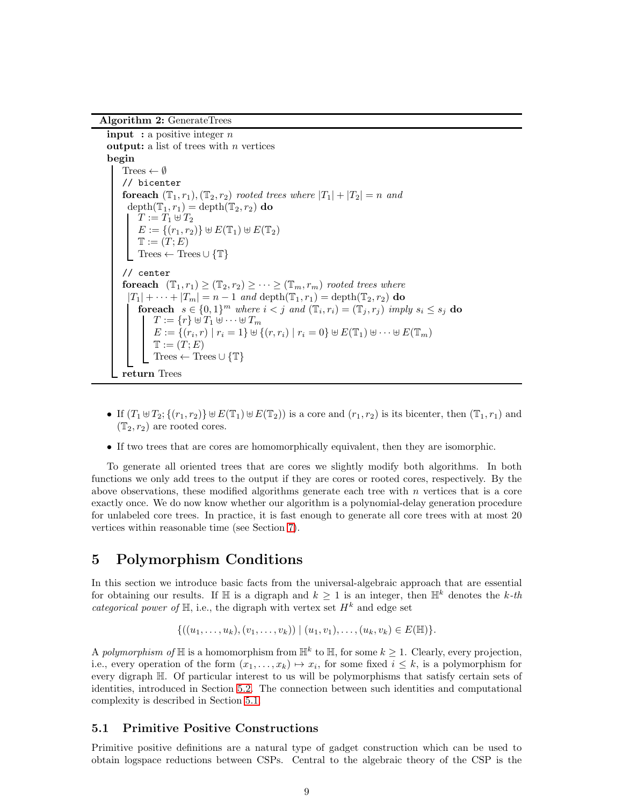<span id="page-8-1"></span>Algorithm 2: GenerateTrees

**input** : a positive integer  $n$ **output:** a list of trees with  $n$  vertices begin Trees  $\leftarrow \emptyset$ // bicenter **foreach**  $(\mathbb{T}_1, r_1), (\mathbb{T}_2, r_2)$  *rooted trees where*  $|T_1| + |T_2| = n$  *and*  $depth(\mathbb{T}_1, r_1) = depth(\mathbb{T}_2, r_2)$  do  $T := T_1 \uplus T_2$  $E := \{(r_1, r_2)\} \uplus E(\mathbb{T}_1) \uplus E(\mathbb{T}_2)$  $\mathbb{T} := (\overline{T};E)$ Trees  $\leftarrow$  Trees  $\cup \{\mathbb{T}\}\$ // center **foreach**  $(\mathbb{T}_1, r_1) \geq (\mathbb{T}_2, r_2) \geq \cdots \geq (\mathbb{T}_m, r_m)$  *rooted trees where*  $|T_1| + \cdots + |T_m| = n - 1$  *and* depth $(\mathbb{T}_1, r_1) =$  depth $(\mathbb{T}_2, r_2)$  **do** for each  $s \in \{0,1\}^m$  where  $i < j$  and  $(\mathbb{T}_i, r_i) = (\mathbb{T}_j, r_j)$  *imply*  $s_i \leq s_j$  do  $T := \{r\} \uplus T_1 \uplus \cdots \uplus T_m$  $E := \{(r_i, r) | r_i = 1\} \cup \{(r, r_i) | r_i = 0\} \cup E(\mathbb{T}_1) \cup \cdots \cup E(\mathbb{T}_m)$  $\mathbb{T} := (\overset{\cdot}{T};E)$ Trees  $\leftarrow$  Trees  $\cup \{\mathbb{T}\}\$ return Trees

- If  $(T_1 \uplus T_2; \{(r_1, r_2)\}\uplus E(\mathbb{T}_1) \uplus E(\mathbb{T}_2))$  is a core and  $(r_1, r_2)$  is its bicenter, then  $(\mathbb{T}_1, r_1)$  and  $(\mathbb{T}_2, r_2)$  are rooted cores.
- If two trees that are cores are homomorphically equivalent, then they are isomorphic.

To generate all oriented trees that are cores we slightly modify both algorithms. In both functions we only add trees to the output if they are cores or rooted cores, respectively. By the above observations, these modified algorithms generate each tree with  $n$  vertices that is a core exactly once. We do now know whether our algorithm is a polynomial-delay generation procedure for unlabeled core trees. In practice, it is fast enough to generate all core trees with at most 20 vertices within reasonable time (see Section [7\)](#page-17-1).

## <span id="page-8-0"></span>5 Polymorphism Conditions

In this section we introduce basic facts from the universal-algebraic approach that are essential for obtaining our results. If H is a digraph and  $k \geq 1$  is an integer, then  $\mathbb{H}^k$  denotes the k-th *categorical power of*  $\mathbb{H}$ , i.e., the digraph with vertex set  $H^k$  and edge set

$$
\{((u_1,\ldots,u_k),(v_1,\ldots,v_k)) \mid (u_1,v_1),\ldots,(u_k,v_k) \in E(\mathbb{H})\}.
$$

A *polymorphism of*  $\mathbb{H}$  is a homomorphism from  $\mathbb{H}^k$  to  $\mathbb{H}$ , for some  $k \geq 1$ . Clearly, every projection, i.e., every operation of the form  $(x_1, \ldots, x_k) \mapsto x_i$ , for some fixed  $i \leq k$ , is a polymorphism for every digraph H. Of particular interest to us will be polymorphisms that satisfy certain sets of identities, introduced in Section [5.2.](#page-9-1) The connection between such identities and computational complexity is described in Section [5.1.](#page-8-2)

#### <span id="page-8-2"></span>5.1 Primitive Positive Constructions

Primitive positive definitions are a natural type of gadget construction which can be used to obtain logspace reductions between CSPs. Central to the algebraic theory of the CSP is the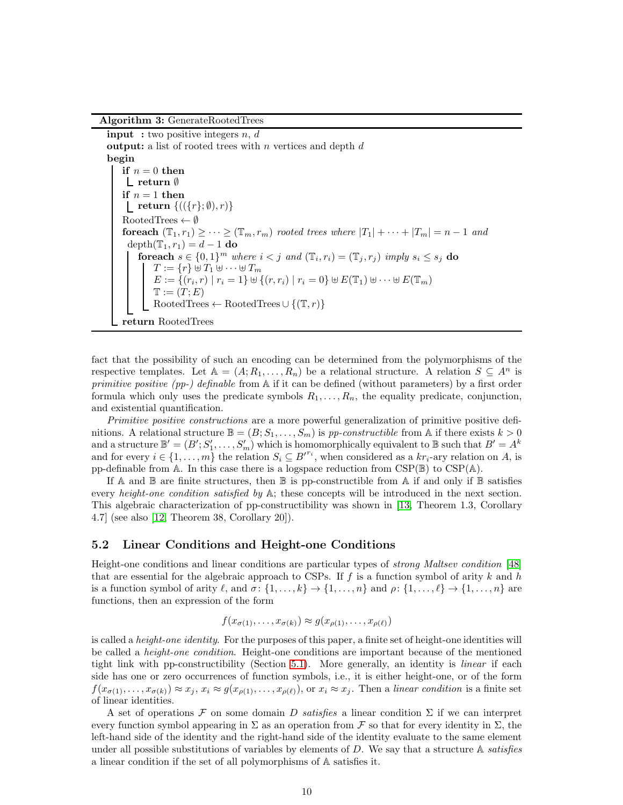<span id="page-9-0"></span>Algorithm 3: GenerateRootedTrees

**input** : two positive integers  $n, d$ **output:** a list of rooted trees with  $n$  vertices and depth  $d$ begin if  $n = 0$  then return ∅ if  $n = 1$  then  $\label{eq:rel} \begin{array}{l} \begin{array}{l} \textbf{return } \{((\{r\}; \emptyset), r)\} \end{array} \end{array}$  $RootedTrees \leftarrow \emptyset$ **foreach**  $(\mathbb{T}_1, r_1) \geq \cdots \geq (\mathbb{T}_m, r_m)$  *rooted trees where*  $|T_1| + \cdots + |T_m| = n - 1$  *and* depth $(\mathbb{T}_1, r_1) = d - 1$  do for each  $s \in \{0,1\}^m$  where  $i < j$  and  $(\mathbb{T}_i, r_i) = (\mathbb{T}_j, r_j)$  *imply*  $s_i \leq s_j$  do  $T := \{r\} \uplus T_1 \uplus \cdots \uplus T_m$  $E := \{(r_i, r) | r_i = 1\} \cup \{(r, r_i) | r_i = 0\} \cup E(\mathbb{T}_1) \cup \cdots \cup E(\mathbb{T}_m)$  $\mathbb{T} := (\overset{\cdot}{T};E)$ RootedTrees ← RootedTrees  $\cup \{(\mathbb{T}, r)\}$ return RootedTrees

fact that the possibility of such an encoding can be determined from the polymorphisms of the respective templates. Let  $A = (A; R_1, \ldots, R_n)$  be a relational structure. A relation  $S \subseteq A^n$  is *primitive positive (pp-) definable* from A if it can be defined (without parameters) by a first order formula which only uses the predicate symbols  $R_1, \ldots, R_n$ , the equality predicate, conjunction, and existential quantification.

*Primitive positive constructions* are a more powerful generalization of primitive positive definitions. A relational structure  $\mathbb{B} = (B; S_1, \ldots, S_m)$  is *pp-constructible* from A if there exists  $k > 0$ and a structure  $\mathbb{B}' = (B'; S'_1, \ldots, S'_m)$  which is homomorphically equivalent to  $\mathbb{B}$  such that  $B' = A^k$ and for every  $i \in \{1, \ldots, m\}$  the relation  $S_i \subseteq B'^{r_i}$ , when considered as a  $kr_i$ -ary relation on A, is pp-definable from A. In this case there is a logspace reduction from  $CSP(\mathbb{B})$  to  $CSP(\mathbb{A})$ .

If A and  $\mathbb B$  are finite structures, then  $\mathbb B$  is pp-constructible from A if and only if  $\mathbb B$  satisfies every *height-one condition satisfied by* A; these concepts will be introduced in the next section. This algebraic characterization of pp-constructibility was shown in [\[13,](#page-25-7) Theorem 1.3, Corollary 4.7] (see also [\[12,](#page-25-2) Theorem 38, Corollary 20]).

#### <span id="page-9-1"></span>5.2 Linear Conditions and Height-one Conditions

Height-one conditions and linear conditions are particular types of *strong Maltsev condition* [\[48\]](#page-27-12) that are essential for the algebraic approach to CSPs. If  $f$  is a function symbol of arity  $k$  and  $h$ is a function symbol of arity  $\ell$ , and  $\sigma: \{1, \ldots, k\} \to \{1, \ldots, n\}$  and  $\rho: \{1, \ldots, \ell\} \to \{1, \ldots, n\}$  are functions, then an expression of the form

$$
f(x_{\sigma(1)},\ldots,x_{\sigma(k)}) \approx g(x_{\rho(1)},\ldots,x_{\rho(\ell)})
$$

is called a *height-one identity*. For the purposes of this paper, a finite set of height-one identities will be called a *height-one condition*. Height-one conditions are important because of the mentioned tight link with pp-constructibility (Section [5.1\)](#page-8-2). More generally, an identity is *linear* if each side has one or zero occurrences of function symbols, i.e., it is either height-one, or of the form  $f(x_{\sigma(1)},...,x_{\sigma(k)}) \approx x_j, x_i \approx g(x_{\rho(1)},...,x_{\rho(\ell)}),$  or  $x_i \approx x_j$ . Then a *linear condition* is a finite set of linear identities.

A set of operations F on some domain D *satisfies* a linear condition  $\Sigma$  if we can interpret every function symbol appearing in  $\Sigma$  as an operation from F so that for every identity in  $\Sigma$ , the left-hand side of the identity and the right-hand side of the identity evaluate to the same element under all possible substitutions of variables by elements of D. We say that a structure A *satisfies* a linear condition if the set of all polymorphisms of A satisfies it.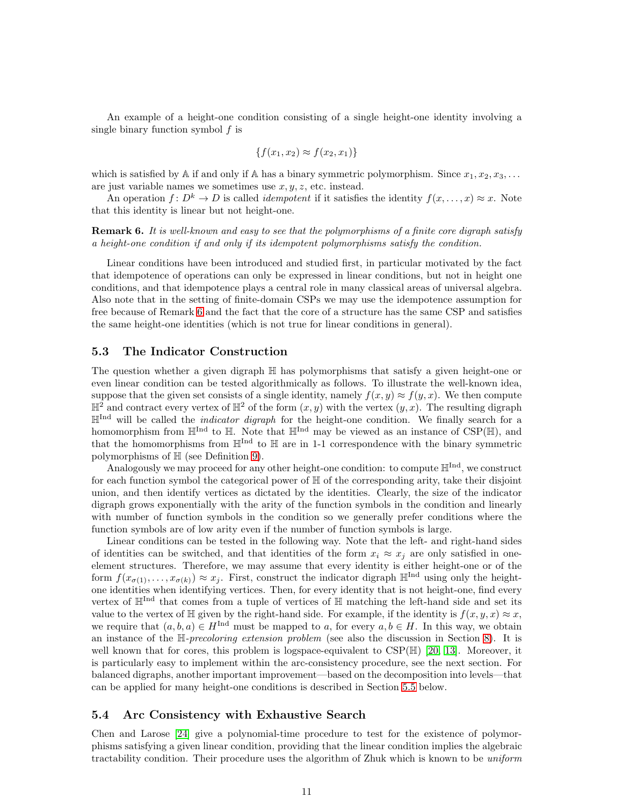An example of a height-one condition consisting of a single height-one identity involving a single binary function symbol f is

$$
\{f(x_1, x_2) \approx f(x_2, x_1)\}
$$

which is satisfied by A if and only if A has a binary symmetric polymorphism. Since  $x_1, x_2, x_3, \ldots$ are just variable names we sometimes use  $x, y, z$ , etc. instead.

An operation  $f: D^k \to D$  is called *idempotent* if it satisfies the identity  $f(x, \ldots, x) \approx x$ . Note that this identity is linear but not height-one.

<span id="page-10-0"></span>Remark 6. *It is well-known and easy to see that the polymorphisms of a finite core digraph satisfy a height-one condition if and only if its idempotent polymorphisms satisfy the condition.*

Linear conditions have been introduced and studied first, in particular motivated by the fact that idempotence of operations can only be expressed in linear conditions, but not in height one conditions, and that idempotence plays a central role in many classical areas of universal algebra. Also note that in the setting of finite-domain CSPs we may use the idempotence assumption for free because of Remark [6](#page-10-0) and the fact that the core of a structure has the same CSP and satisfies the same height-one identities (which is not true for linear conditions in general).

#### <span id="page-10-1"></span>5.3 The Indicator Construction

The question whether a given digraph H has polymorphisms that satisfy a given height-one or even linear condition can be tested algorithmically as follows. To illustrate the well-known idea, suppose that the given set consists of a single identity, namely  $f(x, y) \approx f(y, x)$ . We then compute  $\mathbb{H}^2$  and contract every vertex of  $\mathbb{H}^2$  of the form  $(x, y)$  with the vertex  $(y, x)$ . The resulting digraph HInd will be called the *indicator digraph* for the height-one condition. We finally search for a homomorphism from  $\mathbb{H}^{\text{Ind}}$  to  $\mathbb{H}$ . Note that  $\mathbb{H}^{\text{Ind}}$  may be viewed as an instance of CSP( $\mathbb{H}$ ), and that the homomorphisms from  $\mathbb{H}^{\text{Ind}}$  to  $\mathbb H$  are in 1-1 correspondence with the binary symmetric polymorphisms of  $\mathbb H$  (see Definition [9\)](#page-13-1).

Analogously we may proceed for any other height-one condition: to compute  $\mathbb{H}^{\text{Ind}}$ , we construct for each function symbol the categorical power of  $\mathbb H$  of the corresponding arity, take their disjoint union, and then identify vertices as dictated by the identities. Clearly, the size of the indicator digraph grows exponentially with the arity of the function symbols in the condition and linearly with number of function symbols in the condition so we generally prefer conditions where the function symbols are of low arity even if the number of function symbols is large.

Linear conditions can be tested in the following way. Note that the left- and right-hand sides of identities can be switched, and that identities of the form  $x_i \approx x_j$  are only satisfied in oneelement structures. Therefore, we may assume that every identity is either height-one or of the form  $f(x_{\sigma(1)},...,x_{\sigma(k)}) \approx x_i$ . First, construct the indicator digraph  $\mathbb{H}^{\text{Ind}}$  using only the heightone identities when identifying vertices. Then, for every identity that is not height-one, find every vertex of  $\mathbb{H}^{\text{Ind}}$  that comes from a tuple of vertices of  $\mathbb{H}$  matching the left-hand side and set its value to the vertex of  $\mathbb H$  given by the right-hand side. For example, if the identity is  $f(x, y, x) \approx x$ , we require that  $(a, b, a) \in H^{\text{Ind}}$  must be mapped to a, for every  $a, b \in H$ . In this way, we obtain an instance of the H*-precoloring extension problem* (see also the discussion in Section [8\)](#page-23-0). It is well known that for cores, this problem is logspace-equivalent to  $CSP(\mathbb{H})$  [\[20,](#page-25-12) [13\]](#page-25-7). Moreover, it is particularly easy to implement within the arc-consistency procedure, see the next section. For balanced digraphs, another important improvement—based on the decomposition into levels—that can be applied for many height-one conditions is described in Section [5.5](#page-11-1) below.

#### 5.4 Arc Consistency with Exhaustive Search

Chen and Larose [\[24\]](#page-25-3) give a polynomial-time procedure to test for the existence of polymorphisms satisfying a given linear condition, providing that the linear condition implies the algebraic tractability condition. Their procedure uses the algorithm of Zhuk which is known to be *uniform*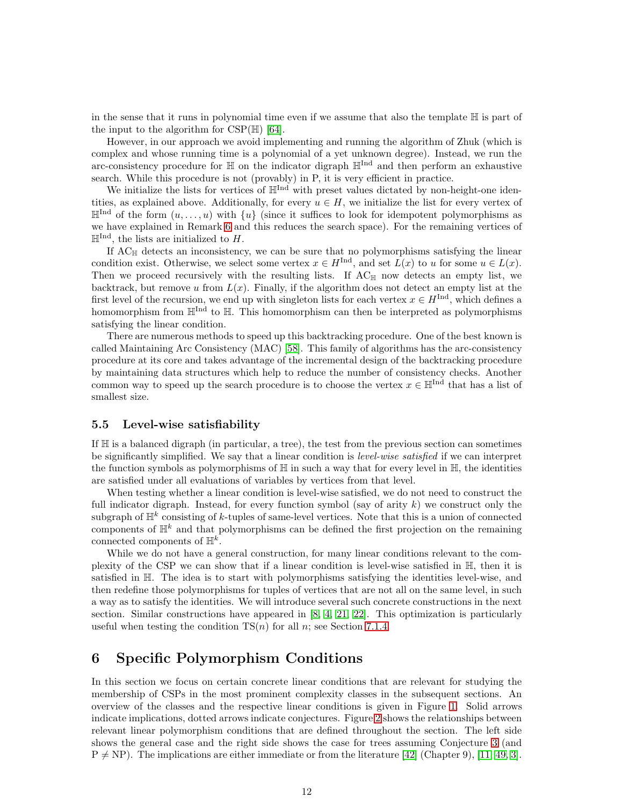in the sense that it runs in polynomial time even if we assume that also the template  $H$  is part of the input to the algorithm for  $CSP(\mathbb{H})$  [\[64\]](#page-27-0).

However, in our approach we avoid implementing and running the algorithm of Zhuk (which is complex and whose running time is a polynomial of a yet unknown degree). Instead, we run the arc-consistency procedure for  $\mathbb H$  on the indicator digraph  $\mathbb H^{\text{Ind}}$  and then perform an exhaustive search. While this procedure is not (provably) in P, it is very efficient in practice.

We initialize the lists for vertices of  $\mathbb{H}^{\text{Ind}}$  with preset values dictated by non-height-one identities, as explained above. Additionally, for every  $u \in H$ , we initialize the list for every vertex of  $\mathbb{H}^{\text{Ind}}$  of the form  $(u, \ldots, u)$  with  $\{u\}$  (since it suffices to look for idempotent polymorphisms as we have explained in Remark [6](#page-10-0) and this reduces the search space). For the remaining vertices of  $\mathbb{H}^{\text{Ind}}$ , the lists are initialized to H.

If  $AC_{\mathbb{H}}$  detects an inconsistency, we can be sure that no polymorphisms satisfying the linear condition exist. Otherwise, we select some vertex  $x \in H^{\text{Ind}}$ , and set  $L(x)$  to u for some  $u \in L(x)$ . Then we proceed recursively with the resulting lists. If  $AC_{\mathbb{H}}$  now detects an empty list, we backtrack, but remove u from  $L(x)$ . Finally, if the algorithm does not detect an empty list at the first level of the recursion, we end up with singleton lists for each vertex  $x \in H^{\text{Ind}}$ , which defines a homomorphism from  $\mathbb{H}^{\text{Ind}}$  to  $\mathbb{H}$ . This homomorphism can then be interpreted as polymorphisms satisfying the linear condition.

There are numerous methods to speed up this backtracking procedure. One of the best known is called Maintaining Arc Consistency (MAC) [\[58\]](#page-27-13). This family of algorithms has the arc-consistency procedure at its core and takes advantage of the incremental design of the backtracking procedure by maintaining data structures which help to reduce the number of consistency checks. Another common way to speed up the search procedure is to choose the vertex  $x \in \mathbb{H}^{\text{Ind}}$  that has a list of smallest size.

#### <span id="page-11-1"></span>5.5 Level-wise satisfiability

If  $\mathbb H$  is a balanced digraph (in particular, a tree), the test from the previous section can sometimes be significantly simplified. We say that a linear condition is *level-wise satisfied* if we can interpret the function symbols as polymorphisms of  $\mathbb H$  in such a way that for every level in  $\mathbb H$ , the identities are satisfied under all evaluations of variables by vertices from that level.

When testing whether a linear condition is level-wise satisfied, we do not need to construct the full indicator digraph. Instead, for every function symbol (say of arity  $k$ ) we construct only the subgraph of  $\mathbb{H}^k$  consisting of k-tuples of same-level vertices. Note that this is a union of connected components of  $\mathbb{H}^k$  and that polymorphisms can be defined the first projection on the remaining connected components of  $\mathbb{H}^k$ .

While we do not have a general construction, for many linear conditions relevant to the complexity of the CSP we can show that if a linear condition is level-wise satisfied in H, then it is satisfied in H. The idea is to start with polymorphisms satisfying the identities level-wise, and then redefine those polymorphisms for tuples of vertices that are not all on the same level, in such a way as to satisfy the identities. We will introduce several such concrete constructions in the next section. Similar constructions have appeared in  $[8, 4, 21, 22]$  $[8, 4, 21, 22]$  $[8, 4, 21, 22]$  $[8, 4, 21, 22]$ . This optimization is particularly useful when testing the condition  $TS(n)$  for all n; see Section [7.1.4.](#page-21-0)

## <span id="page-11-0"></span>6 Specific Polymorphism Conditions

In this section we focus on certain concrete linear conditions that are relevant for studying the membership of CSPs in the most prominent complexity classes in the subsequent sections. An overview of the classes and the respective linear conditions is given in Figure [1.](#page-12-0) Solid arrows indicate implications, dotted arrows indicate conjectures. Figure [2](#page-12-1) shows the relationships between relevant linear polymorphism conditions that are defined throughout the section. The left side shows the general case and the right side shows the case for trees assuming Conjecture [3](#page-3-0) (and  $P \neq NP$ ). The implications are either immediate or from the literature [\[42\]](#page-26-13) (Chapter 9), [\[11,](#page-25-13) [49,](#page-27-4) [3\]](#page-24-4).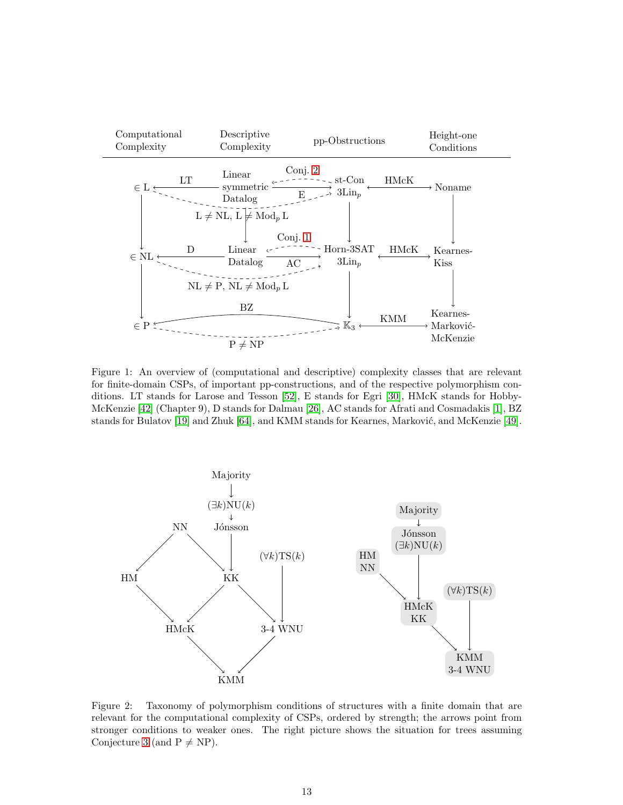

<span id="page-12-0"></span>Figure 1: An overview of (computational and descriptive) complexity classes that are relevant for finite-domain CSPs, of important pp-constructions, and of the respective polymorphism conditions. LT stands for Larose and Tesson [\[52\]](#page-27-5), E stands for Egri [\[30\]](#page-26-14), HMcK stands for Hobby-McKenzie [\[42\]](#page-26-13) (Chapter 9), D stands for Dalmau [\[26\]](#page-25-14), AC stands for Afrati and Cosmadakis [\[1\]](#page-24-5), BZ stands for Bulatov [\[19\]](#page-25-1) and Zhuk [\[64\]](#page-27-0), and KMM stands for Kearnes, Marković, and McKenzie [\[49\]](#page-27-4).



<span id="page-12-1"></span>Figure 2: Taxonomy of polymorphism conditions of structures with a finite domain that are relevant for the computational complexity of CSPs, ordered by strength; the arrows point from stronger conditions to weaker ones. The right picture shows the situation for trees assuming Conjecture [3](#page-3-0) (and  $P \neq NP$ ).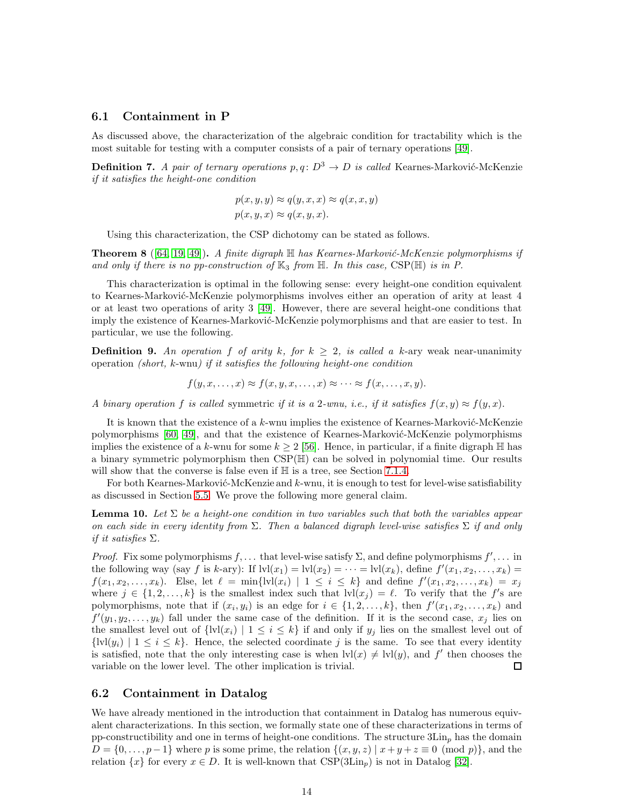#### <span id="page-13-0"></span>6.1 Containment in P

As discussed above, the characterization of the algebraic condition for tractability which is the most suitable for testing with a computer consists of a pair of ternary operations [\[49\]](#page-27-4).

**Definition 7.** *A pair of ternary operations*  $p, q: D^3 \to D$  *is called* Kearnes-Marković-McKenzie *if it satisfies the height-one condition*

$$
p(x, y, y) \approx q(y, x, x) \approx q(x, x, y)
$$
  

$$
p(x, y, x) \approx q(x, y, x).
$$

Using this characterization, the CSP dichotomy can be stated as follows.

**Theorem 8** ([\[64,](#page-27-0) [19,](#page-25-1) [49\]](#page-27-4)). *A finite digraph*  $\mathbb{H}$  *has Kearnes-Marković-McKenzie polymorphisms if* and only if there is no pp-construction of  $\mathbb{K}_3$  from  $\mathbb{H}$ . In this case,  $CSP(\mathbb{H})$  is in P.

This characterization is optimal in the following sense: every height-one condition equivalent to Kearnes-Marković-McKenzie polymorphisms involves either an operation of arity at least 4 or at least two operations of arity 3 [\[49\]](#page-27-4). However, there are several height-one conditions that imply the existence of Kearnes-Marković-McKenzie polymorphisms and that are easier to test. In particular, we use the following.

<span id="page-13-1"></span>**Definition 9.** An operation f of arity k, for  $k \geq 2$ , is called a k-ary weak near-unanimity operation *(short,* k-wnu*) if it satisfies the following height-one condition*

$$
f(y, x, \dots, x) \approx f(x, y, x, \dots, x) \approx \dots \approx f(x, \dots, x, y).
$$

*A binary operation* f *is called* symmetric *if it is a* 2*-wnu, i.e., if it satisfies*  $f(x, y) \approx f(y, x)$ .

It is known that the existence of a k-wnu implies the existence of Kearnes-Marković-McKenzie polymorphisms [\[60,](#page-27-2) [49\]](#page-27-4), and that the existence of Kearnes-Marković-McKenzie polymorphisms implies the existence of a k-wnu for some  $k \geq 2$  [\[56\]](#page-27-3). Hence, in particular, if a finite digraph  $\mathbb{H}$  has a binary symmetric polymorphism then CSP(H) can be solved in polynomial time. Our results will show that the converse is false even if  $\mathbb H$  is a tree, see Section [7.1.4.](#page-21-0)

For both Kearnes-Marković-McKenzie and  $k$ -wnu, it is enough to test for level-wise satisfiability as discussed in Section [5.5.](#page-11-1) We prove the following more general claim.

<span id="page-13-2"></span>**Lemma 10.** Let  $\Sigma$  be a height-one condition in two variables such that both the variables appear *on each side in every identity from* Σ*. Then a balanced digraph level-wise satisfies* Σ *if and only if it satisfies* Σ*.*

*Proof.* Fix some polymorphisms  $f, \ldots$  that level-wise satisfy  $\Sigma$ , and define polymorphisms  $f', \ldots$  in the following way (say f is k-ary): If  $\text{lvl}(x_1) = \text{lvl}(x_2) = \cdots = \text{lvl}(x_k)$ , define  $f'(x_1, x_2, \ldots, x_k) =$  $f(x_1, x_2, \ldots, x_k)$ . Else, let  $\ell = \min\{l \nu l(x_i) \mid 1 \leq i \leq k\}$  and define  $f'(x_1, x_2, \ldots, x_k) = x_j$ where  $j \in \{1, 2, ..., k\}$  is the smallest index such that  $\text{lvl}(x_j) = \ell$ . To verify that the f's are polymorphisms, note that if  $(x_i, y_i)$  is an edge for  $i \in \{1, 2, \ldots, k\}$ , then  $f'(x_1, x_2, \ldots, x_k)$  and  $f'(y_1, y_2, \ldots, y_k)$  fall under the same case of the definition. If it is the second case,  $x_j$  lies on the smallest level out of  $\{lvl(x_i) \mid 1 \leq i \leq k\}$  if and only if  $y_i$  lies on the smallest level out of  ${\lbrace \text{lvl}(y_i) \mid 1 \leq i \leq k \rbrace}$ . Hence, the selected coordinate j is the same. To see that every identity is satisfied, note that the only interesting case is when  $\text{lvl}(x) \neq \text{lvl}(y)$ , and f' then chooses the variable on the lower level. The other implication is trivial. □

#### 6.2 Containment in Datalog

We have already mentioned in the introduction that containment in Datalog has numerous equivalent characterizations. In this section, we formally state one of these characterizations in terms of pp-constructibility and one in terms of height-one conditions. The structure  $3\mathrm{Lin}_n$  has the domain  $D = \{0, \ldots, p-1\}$  where p is some prime, the relation  $\{(x, y, z) | x+y+z \equiv 0 \pmod{p}\}$ , and the relation  $\{x\}$  for every  $x \in D$ . It is well-known that  $CSP(3\mathrm{Lin}_p)$  is not in Datalog [\[32\]](#page-26-1).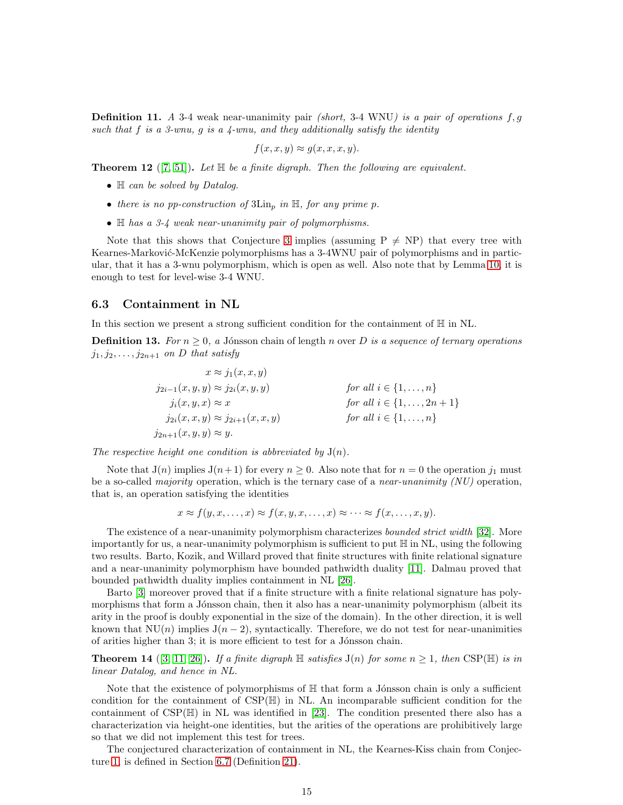Definition 11. *A* 3-4 weak near-unanimity pair *(short,* 3-4 WNU*) is a pair of operations* f, g *such that* f *is a 3-wnu,* g *is a 4-wnu, and they additionally satisfy the identity*

$$
f(x, x, y) \approx g(x, x, x, y).
$$

**Theorem 12** ([\[7,](#page-24-6) [51\]](#page-27-14)). Let  $\mathbb{H}$  be a finite digraph. Then the following are equivalent.

- H *can be solved by Datalog.*
- *there is no pp-construction of*  $3\mathrm{Lin}_p$  *in*  $\mathbb{H}$ *, for any prime p.*
- H *has a 3-4 weak near-unanimity pair of polymorphisms.*

Note that this shows that Conjecture [3](#page-3-0) implies (assuming  $P \neq NP$ ) that every tree with Kearnes-Marković-McKenzie polymorphisms has a 3-4WNU pair of polymorphisms and in particular, that it has a 3-wnu polymorphism, which is open as well. Also note that by Lemma [10,](#page-13-2) it is enough to test for level-wise 3-4 WNU.

#### 6.3 Containment in NL

In this section we present a strong sufficient condition for the containment of  $\mathbb H$  in NL.

**Definition 13.** For  $n \geq 0$ , a Jónsson chain of length n over D is a sequence of ternary operations  $j_1, j_2, \ldots, j_{2n+1}$  *on D that satisfy* 

$$
x \approx j_1(x, x, y)
$$
  
\n
$$
j_{2i-1}(x, y, y) \approx j_{2i}(x, y, y)
$$
  
\n
$$
j_i(x, y, x) \approx x
$$
  
\n
$$
j_{2i}(x, x, y) \approx j_{2i+1}(x, x, y)
$$
  
\nfor all  $i \in \{1, ..., n\}$   
\nfor all  $i \in \{1, ..., n\}$   
\nfor all  $i \in \{1, ..., n\}$   
\nfor all  $i \in \{1, ..., n\}$ 

The respective height one condition is abbreviated by  $J(n)$ .

Note that  $J(n)$  implies  $J(n+1)$  for every  $n \geq 0$ . Also note that for  $n = 0$  the operation  $j_1$  must be a so-called *majority* operation, which is the ternary case of a *near-unanimity (NU)* operation, that is, an operation satisfying the identities

$$
x \approx f(y, x, \dots, x) \approx f(x, y, x, \dots, x) \approx \dots \approx f(x, \dots, x, y).
$$

The existence of a near-unanimity polymorphism characterizes *bounded strict width* [\[32\]](#page-26-1). More importantly for us, a near-unanimity polymorphism is sufficient to put  $\mathbb H$  in NL, using the following two results. Barto, Kozik, and Willard proved that finite structures with finite relational signature and a near-unanimity polymorphism have bounded pathwidth duality [\[11\]](#page-25-13). Dalmau proved that bounded pathwidth duality implies containment in NL [\[26\]](#page-25-14).

Barto [\[3\]](#page-24-4) moreover proved that if a finite structure with a finite relational signature has polymorphisms that form a Jónsson chain, then it also has a near-unanimity polymorphism (albeit its arity in the proof is doubly exponential in the size of the domain). In the other direction, it is well known that  $\text{NU}(n)$  implies  $\text{J}(n-2)$ , syntactically. Therefore, we do not test for near-unanimities of arities higher than 3; it is more efficient to test for a Jónsson chain.

**Theorem 14** ([\[3,](#page-24-4) [11,](#page-25-13) [26\]](#page-25-14)). If a finite digraph  $\mathbb H$  satisfies  $J(n)$  for some  $n \geq 1$ , then CSP( $\mathbb H$ ) is in *linear Datalog, and hence in NL.*

Note that the existence of polymorphisms of  $\mathbb H$  that form a Jónsson chain is only a sufficient condition for the containment of  $CSP(\mathbb{H})$  in NL. An incomparable sufficient condition for the containment of  $CSP(\mathbb{H})$  in NL was identified in [\[23\]](#page-25-15). The condition presented there also has a characterization via height-one identities, but the arities of the operations are prohibitively large so that we did not implement this test for trees.

The conjectured characterization of containment in NL, the Kearnes-Kiss chain from Conjecture [1,](#page-1-0) is defined in Section [6.7](#page-16-0) (Definition [21\)](#page-16-1).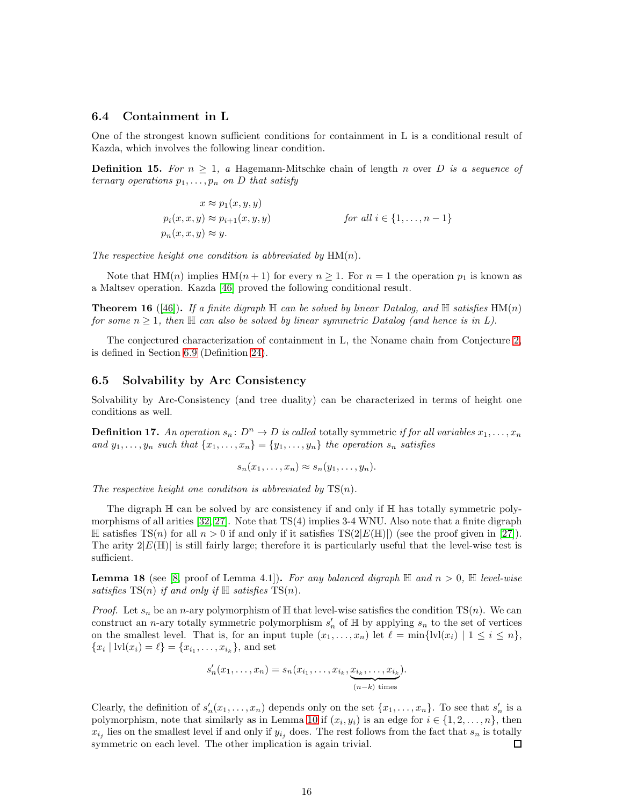#### 6.4 Containment in L

One of the strongest known sufficient conditions for containment in L is a conditional result of Kazda, which involves the following linear condition.

**Definition 15.** For  $n \geq 1$ , a Hagemann-Mitschke chain of length n over D is a sequence of *ternary operations*  $p_1, \ldots, p_n$  *on D that satisfy* 

$$
x \approx p_1(x, y, y)
$$
  
\n
$$
p_i(x, x, y) \approx p_{i+1}(x, y, y)
$$
 for all  $i \in \{1, ..., n-1\}$   
\n
$$
p_n(x, x, y) \approx y.
$$

The respective height one condition is abbreviated by  $HM(n)$ .

Note that  $HM(n)$  implies  $HM(n + 1)$  for every  $n \ge 1$ . For  $n = 1$  the operation  $p_1$  is known as a Maltsev operation. Kazda [\[46\]](#page-26-3) proved the following conditional result.

**Theorem 16** ([\[46\]](#page-26-3)). If a finite digraph  $\mathbb{H}$  can be solved by linear Datalog, and  $\mathbb{H}$  satisfies  $\text{HM}(n)$ *for some*  $n \geq 1$ , then  $\mathbb H$  *can also be solved by linear symmetric Datalog (and hence is in L).* 

The conjectured characterization of containment in L, the Noname chain from Conjecture [2,](#page-1-1) is defined in Section [6.9](#page-17-0) (Definition [24\)](#page-17-2).

#### <span id="page-15-0"></span>6.5 Solvability by Arc Consistency

Solvability by Arc-Consistency (and tree duality) can be characterized in terms of height one conditions as well.

**Definition 17.** An operation  $s_n : D^n \to D$  is called totally symmetric *if for all variables*  $x_1, \ldots, x_n$ and  $y_1, \ldots, y_n$  such that  $\{x_1, \ldots, x_n\} = \{y_1, \ldots, y_n\}$  the operation  $s_n$  satisfies

$$
s_n(x_1,\ldots,x_n)\approx s_n(y_1,\ldots,y_n).
$$

*The respective height one condition is abbreviated by* TS(n)*.*

The digraph  $\mathbb H$  can be solved by arc consistency if and only if  $\mathbb H$  has totally symmetric polymorphisms of all arities [\[32,](#page-26-1) [27\]](#page-26-15). Note that TS(4) implies 3-4 WNU. Also note that a finite digraph  $\mathbb H$  satisfies TS(n) for all  $n > 0$  if and only if it satisfies TS(2|E(H))) (see the proof given in [\[27\]](#page-26-15)). The arity  $2|E(\mathbb{H})|$  is still fairly large; therefore it is particularly useful that the level-wise test is sufficient.

**Lemma 18** (see [\[8,](#page-24-1) proof of Lemma 4.1]). For any balanced digraph  $\mathbb{H}$  and  $n > 0$ ,  $\mathbb{H}$  level-wise *satisfies*  $TS(n)$  *if and only if*  $\mathbb{H}$  *satisfies*  $TS(n)$ *.* 

*Proof.* Let  $s_n$  be an *n*-ary polymorphism of  $\mathbb{H}$  that level-wise satisfies the condition TS(*n*). We can construct an *n*-ary totally symmetric polymorphism  $s'_n$  of  $\mathbb H$  by applying  $s_n$  to the set of vertices on the smallest level. That is, for an input tuple  $(x_1, \ldots, x_n)$  let  $\ell = \min\{lvl(x_i) \mid 1 \leq i \leq n\}$ ,  ${x_i | \text{lvl}(x_i) = \ell} = {x_{i_1}, \ldots, x_{i_k}}$ , and set

$$
s'_n(x_1,\ldots,x_n) = s_n(x_{i_1},\ldots,x_{i_k},\underbrace{x_{i_k},\ldots,x_{i_k}}_{(n-k)\text{ times}}).
$$

Clearly, the definition of  $s'_n(x_1,\ldots,x_n)$  depends only on the set  $\{x_1,\ldots,x_n\}$ . To see that  $s'_n$  is a polymorphism, note that similarly as in Lemma [10](#page-13-2) if  $(x_i, y_i)$  is an edge for  $i \in \{1, 2, \ldots, n\}$ , then  $x_{i_j}$  lies on the smallest level if and only if  $y_{i_j}$  does. The rest follows from the fact that  $s_n$  is totally symmetric on each level. The other implication is again trivial. □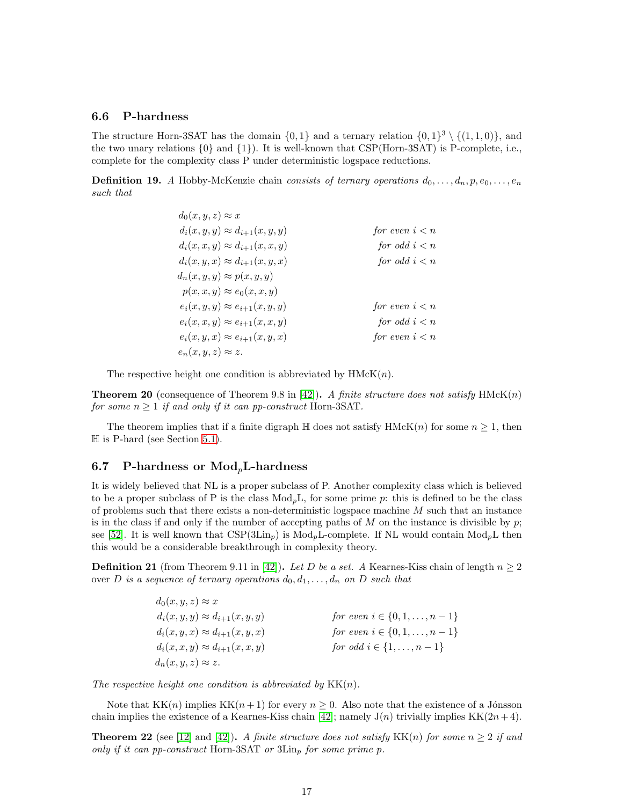#### 6.6 P-hardness

The structure Horn-3SAT has the domain  $\{0,1\}$  and a ternary relation  $\{0,1\}^3 \setminus \{(1,1,0)\}$ , and the two unary relations  $\{0\}$  and  $\{1\}$ ). It is well-known that CSP(Horn-3SAT) is P-complete, i.e., complete for the complexity class P under deterministic logspace reductions.

**Definition 19.** *A* Hobby-McKenzie chain *consists of ternary operations*  $d_0, \ldots, d_n, p, e_0, \ldots, e_n$ *such that*

| $d_0(x, y, z) \approx x$                |                  |
|-----------------------------------------|------------------|
| $d_i(x, y, y) \approx d_{i+1}(x, y, y)$ | for even $i < n$ |
| $d_i(x, x, y) \approx d_{i+1}(x, x, y)$ | for odd $i < n$  |
| $d_i(x, y, x) \approx d_{i+1}(x, y, x)$ | for odd $i < n$  |
| $d_n(x, y, y) \approx p(x, y, y)$       |                  |
| $p(x, x, y) \approx e_0(x, x, y)$       |                  |
| $e_i(x, y, y) \approx e_{i+1}(x, y, y)$ | for even $i < n$ |
| $e_i(x, x, y) \approx e_{i+1}(x, x, y)$ | for odd $i < n$  |
| $e_i(x, y, x) \approx e_{i+1}(x, y, x)$ | for even $i < n$ |
| $e_n(x, y, z) \approx z.$               |                  |

The respective height one condition is abbreviated by  $HMcK(n)$ .

**Theorem 20** (consequence of Theorem 9.8 in [\[42\]](#page-26-13)). A finite structure does not satisfy  $HMcK(n)$ *for some*  $n \geq 1$  *if and only if it can pp-construct* Horn-3SAT.

The theorem implies that if a finite digraph  $\mathbb H$  does not satisfy  $HMcK(n)$  for some  $n \geq 1$ , then  $\mathbb H$  is P-hard (see Section [5.1\)](#page-8-2).

#### <span id="page-16-0"></span>6.7 P-hardness or  $Mod_pL$ -hardness

It is widely believed that NL is a proper subclass of P. Another complexity class which is believed to be a proper subclass of P is the class  $Mod<sub>p</sub>L$ , for some prime p: this is defined to be the class of problems such that there exists a non-deterministic logspace machine  $M$  such that an instance is in the class if and only if the number of accepting paths of M on the instance is divisible by  $p$ ; see [\[52\]](#page-27-5). It is well known that  $CSP(3 Lin_p)$  is  $Mod_pL$ -complete. If NL would contain  $Mod_pL$  then this would be a considerable breakthrough in complexity theory.

<span id="page-16-1"></span>**Definition 21** (from Theorem 9.11 in [\[42\]](#page-26-13)). Let D be a set. A Kearnes-Kiss chain of length  $n \geq 2$ over D is a sequence of ternary operations  $d_0, d_1, \ldots, d_n$  on D such that

| $d_0(x, y, z) \approx x$                |                                  |
|-----------------------------------------|----------------------------------|
| $d_i(x, y, y) \approx d_{i+1}(x, y, y)$ | for even $i \in \{0, 1, , n-1\}$ |
| $d_i(x, y, x) \approx d_{i+1}(x, y, x)$ | for even $i \in \{0, 1, , n-1\}$ |
| $d_i(x, x, y) \approx d_{i+1}(x, x, y)$ | for odd $i \in \{1, , n-1\}$     |
| $d_n(x, y, z) \approx z.$               |                                  |

*The respective height one condition is abbreviated by* KK(n)*.*

Note that  $KK(n)$  implies  $KK(n+1)$  for every  $n \geq 0$ . Also note that the existence of a Jónsson chain implies the existence of a Kearnes-Kiss chain [\[42\]](#page-26-13); namely  $J(n)$  trivially implies  $KK(2n+4)$ .

**Theorem 22** (see [\[12\]](#page-25-2) and [\[42\]](#page-26-13)). *A finite structure does not satisfy* KK(n) *for some*  $n \geq 2$  *if and only if it can pp-construct* Horn-3SAT *or* 3Lin<sub>p</sub> for some prime p.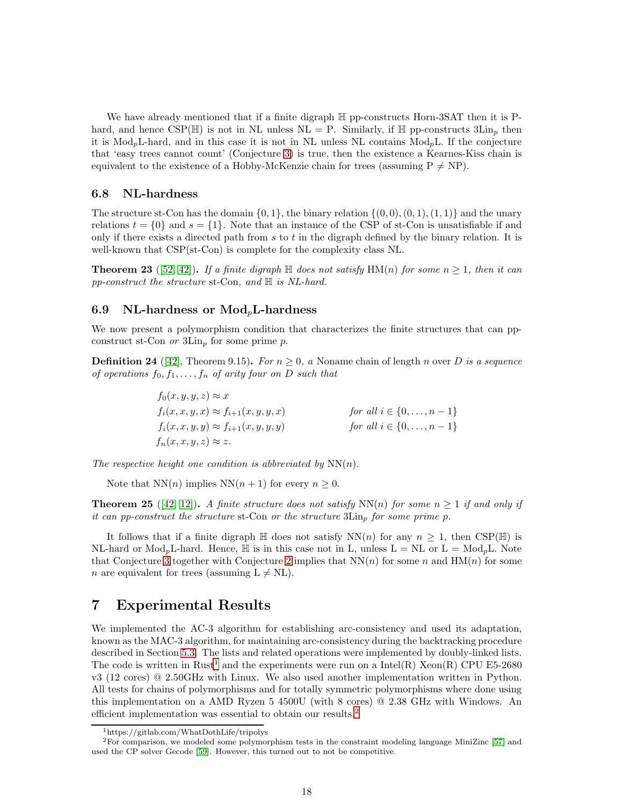We have already mentioned that if a finite digraph H pp-constructs Horn-3SAT then it is Phard, and hence CSP( $\mathbb{H}$ ) is not in NL unless NL = P. Similarly, if  $\mathbb{H}$  pp-constructs 3Lin<sub>n</sub> then it is  $Mod_p L$ -hard, and in this case it is not in NL unless NL contains  $Mod_p L$ . If the conjecture that 'easy trees cannot count' (Conjecture [3\)](#page-3-0) is true, then the existence a Kearnes-Kiss chain is equivalent to the existence of a Hobby-McKenzie chain for trees (assuming  $P \neq NP$ ).

#### 6.8 NL-hardness

The structure st-Con has the domain  $\{0, 1\}$ , the binary relation  $\{(0, 0), (0, 1), (1, 1)\}$  and the unary relations  $t = \{0\}$  and  $s = \{1\}$ . Note that an instance of the CSP of st-Con is unsatisfiable if and only if there exists a directed path from s to t in the digraph defined by the binary relation. It is well-known that  $CSP(st-Con)$  is complete for the complexity class NL.

**Theorem 23** ([\[52,](#page-27-5) [42\]](#page-26-13)). If a finite digraph  $\mathbb{H}$  does not satisfy  $\text{HM}(n)$  for some  $n \geq 1$ , then it can *pp-construct the structure* st-Con*, and* H *is NL-hard.*

#### <span id="page-17-0"></span>6.9 NL-hardness or  $Mod<sub>n</sub>L$ -hardness

We now present a polymorphism condition that characterizes the finite structures that can ppconstruct st-Con *or*  $3\mathrm{Lin}_p$  for some prime p.

<span id="page-17-2"></span>**Definition 24** ([\[42\]](#page-26-13), Theorem 9.15). *For*  $n \geq 0$ , a Noname chain of length n over D is a sequence *of operations*  $f_0, f_1, \ldots, f_n$  *of arity four on* D *such that* 

> $f_0(x, y, y, z) \approx x$  $f_i(x, x, y, x) \approx f_{i+1}(x, y, y, x)$  *for all*  $i \in \{0, ..., n-1\}$  $f_i(x, x, y, y) \approx f_{i+1}(x, y, y, y)$  *for all*  $i \in \{0, ..., n-1\}$  $f_n(x, x, y, z) \approx z.$

The respective height one condition is abbreviated by  $NN(n)$ .

Note that  $NN(n)$  implies  $NN(n + 1)$  for every  $n \geq 0$ .

**Theorem 25** ([\[42,](#page-26-13) [12\]](#page-25-2)). A finite structure does not satisfy  $NN(n)$  for some  $n > 1$  if and only if *it can pp-construct the structure* st-Con *or the structure* 3Lin<sup>p</sup> *for some prime* p*.*

It follows that if a finite digraph  $\mathbb H$  does not satisfy  $NN(n)$  for any  $n \geq 1$ , then CSP( $\mathbb H$ ) is NL-hard or  $Mod_p L$ -hard. Hence,  $\mathbb H$  is in this case not in L, unless  $L = NL$  or  $L = Mod_p L$ . Note that Conjecture [3](#page-3-0) together with Conjecture [2](#page-1-1) implies that  $NN(n)$  for some n and  $HM(n)$  for some *n* are equivalent for trees (assuming  $L \neq NL$ ).

## <span id="page-17-1"></span>7 Experimental Results

We implemented the AC-3 algorithm for establishing arc-consistency and used its adaptation, known as the MAC-3 algorithm, for maintaining arc-consistency during the backtracking procedure described in Section [5.3.](#page-10-1) The lists and related operations were implemented by doubly-linked lists. The code is written in Rust<sup>[1](#page-17-3)</sup> and the experiments were run on a Intel(R) Xeon(R) CPU E5-2680 v3 (12 cores) @ 2.50GHz with Linux. We also used another implementation written in Python. All tests for chains of polymorphisms and for totally symmetric polymorphisms where done using this implementation on a AMD Ryzen 5 4500U (with 8 cores) @ 2.38 GHz with Windows. An efficient implementation was essential to obtain our results.[2](#page-17-4)

<span id="page-17-3"></span><sup>1</sup>https://gitlab.com/WhatDothLife/tripolys

<span id="page-17-4"></span> ${}^{2}$ For comparison, we modeled some polymorphism tests in the constraint modeling language MiniZinc [\[57\]](#page-27-15) and used the CP solver Gecode [\[59\]](#page-27-16). However, this turned out to not be competitive.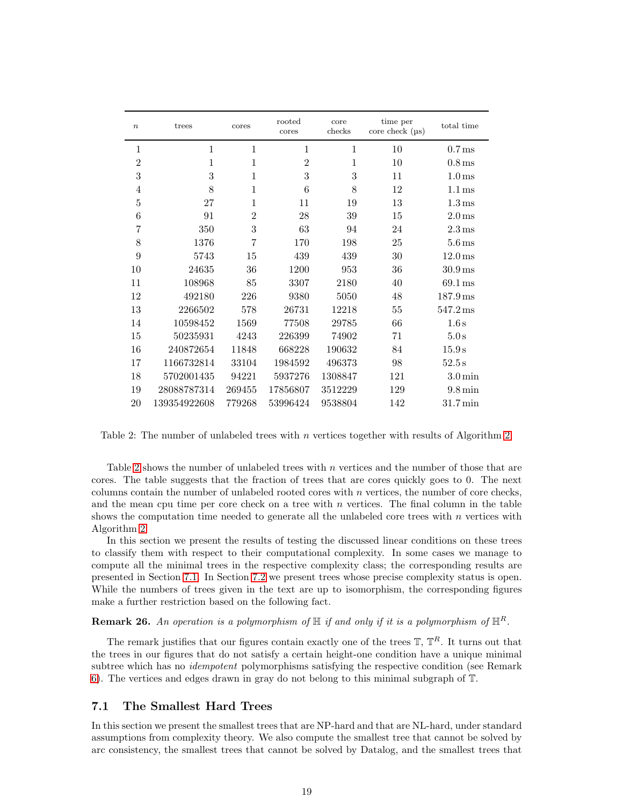| $\boldsymbol{n}$ | trees        | cores          | rooted<br>cores | core<br>checks | time per<br>$\csc$ check $(\mu s)$ | total time            |
|------------------|--------------|----------------|-----------------|----------------|------------------------------------|-----------------------|
| 1                | $\mathbf{1}$ | $\mathbf{1}$   | $\mathbf{1}$    | $\mathbf{1}$   | 10                                 | 0.7 <sub>ms</sub>     |
| $\overline{2}$   | 1            | 1              | $\overline{2}$  | $\mathbf{1}$   | 10                                 | $0.8 \,\mathrm{ms}$   |
| 3                | 3            | 1              | 3               | 3              | 11                                 | 1.0 <sub>ms</sub>     |
| $\overline{4}$   | 8            | $\mathbf{1}$   | 6               | 8              | 12                                 | 1.1 <sub>ms</sub>     |
| 5                | 27           | 1              | 11              | 19             | 13                                 | $1.3 \,\mathrm{ms}$   |
| 6                | 91           | $\overline{2}$ | 28              | 39             | 15                                 | 2.0 <sub>ms</sub>     |
| 7                | 350          | 3              | 63              | 94             | 24                                 | $2.3 \,\mathrm{ms}$   |
| 8                | 1376         | $\overline{7}$ | 170             | 198            | 25                                 | $5.6 \,\mathrm{ms}$   |
| 9                | 5743         | 15             | 439             | 439            | 30                                 | $12.0 \,\mathrm{ms}$  |
| 10               | 24635        | 36             | 1200            | 953            | 36                                 | $30.9$ ms             |
| 11               | 108968       | 85             | 3307            | 2180           | 40                                 | $69.1 \,\mathrm{ms}$  |
| 12               | 492180       | 226            | 9380            | 5050           | 48                                 | $187.9 \,\mathrm{ms}$ |
| 13               | 2266502      | 578            | 26731           | 12218          | 55                                 | $547.2 \,\mathrm{ms}$ |
| 14               | 10598452     | 1569           | 77508           | 29785          | 66                                 | 1.6s                  |
| 15               | 50235931     | 4243           | 226399          | 74902          | 71                                 | $5.0\,\mathrm{s}$     |
| 16               | 240872654    | 11848          | 668228          | 190632         | 84                                 | 15.9 s                |
| 17               | 1166732814   | 33104          | 1984592         | 496373         | 98                                 | 52.5s                 |
| 18               | 5702001435   | 94221          | 5937276         | 1308847        | 121                                | $3.0 \,\mathrm{min}$  |
| 19               | 28088787314  | 269455         | 17856807        | 3512229        | 129                                | $9.8 \,\mathrm{min}$  |
| 20               | 139354922608 | 779268         | 53996424        | 9538804        | 142                                | $31.7 \,\mathrm{min}$ |

<span id="page-18-0"></span>Table 2: The number of unlabeled trees with n vertices together with results of Algorithm [2.](#page-8-1)

Table [2](#page-18-0) shows the number of unlabeled trees with n vertices and the number of those that are cores. The table suggests that the fraction of trees that are cores quickly goes to 0. The next columns contain the number of unlabeled rooted cores with  $n$  vertices, the number of core checks, and the mean cpu time per core check on a tree with  $n$  vertices. The final column in the table shows the computation time needed to generate all the unlabeled core trees with  $n$  vertices with Algorithm [2.](#page-8-1)

In this section we present the results of testing the discussed linear conditions on these trees to classify them with respect to their computational complexity. In some cases we manage to compute all the minimal trees in the respective complexity class; the corresponding results are presented in Section [7.1.](#page-18-1) In Section [7.2](#page-22-0) we present trees whose precise complexity status is open. While the numbers of trees given in the text are up to isomorphism, the corresponding figures make a further restriction based on the following fact.

#### **Remark 26.** An operation is a polymorphism of  $\mathbb{H}$  if and only if it is a polymorphism of  $\mathbb{H}^R$ .

The remark justifies that our figures contain exactly one of the trees  $\mathbb{T}$ ,  $\mathbb{T}^{R}$ . It turns out that the trees in our figures that do not satisfy a certain height-one condition have a unique minimal subtree which has no *idempotent* polymorphisms satisfying the respective condition (see Remark [6\)](#page-10-0). The vertices and edges drawn in gray do not belong to this minimal subgraph of T.

#### <span id="page-18-1"></span>7.1 The Smallest Hard Trees

In this section we present the smallest trees that are NP-hard and that are NL-hard, under standard assumptions from complexity theory. We also compute the smallest tree that cannot be solved by arc consistency, the smallest trees that cannot be solved by Datalog, and the smallest trees that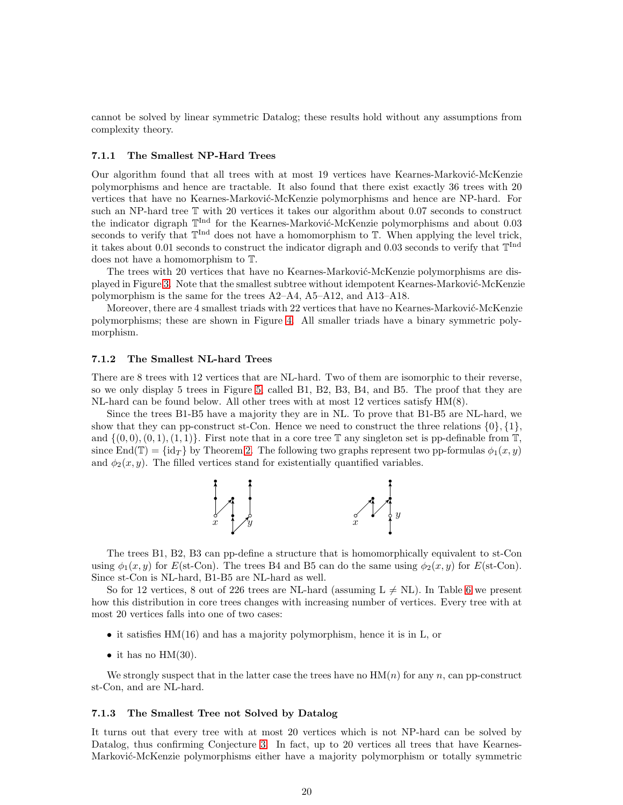cannot be solved by linear symmetric Datalog; these results hold without any assumptions from complexity theory.

#### 7.1.1 The Smallest NP-Hard Trees

Our algorithm found that all trees with at most 19 vertices have Kearnes-Marković-McKenzie polymorphisms and hence are tractable. It also found that there exist exactly 36 trees with 20 vertices that have no Kearnes-Marković-McKenzie polymorphisms and hence are NP-hard. For such an NP-hard tree T with 20 vertices it takes our algorithm about 0.07 seconds to construct the indicator digraph  $\mathbb{T}^{\text{Ind}}$  for the Kearnes-Marković-McKenzie polymorphisms and about 0.03 seconds to verify that  $\mathbb{T}^{\text{Ind}}$  does not have a homomorphism to  $\mathbb{T}$ . When applying the level trick, it takes about 0.01 seconds to construct the indicator digraph and 0.03 seconds to verify that  $\mathbb{T}^{\text{Ind}}$ does not have a homomorphism to T.

The trees with 20 vertices that have no Kearnes-Marković-McKenzie polymorphisms are dis-played in Figure [3.](#page-20-0) Note that the smallest subtree without idempotent Kearnes-Marković-McKenzie polymorphism is the same for the trees A2–A4, A5–A12, and A13–A18.

Moreover, there are 4 smallest triads with 22 vertices that have no Kearnes-Marković-McKenzie polymorphisms; these are shown in Figure [4.](#page-20-1) All smaller triads have a binary symmetric polymorphism.

#### 7.1.2 The Smallest NL-hard Trees

There are 8 trees with 12 vertices that are NL-hard. Two of them are isomorphic to their reverse, so we only display 5 trees in Figure [5,](#page-21-1) called B1, B2, B3, B4, and B5. The proof that they are NL-hard can be found below. All other trees with at most 12 vertices satisfy HM(8).

Since the trees B1-B5 have a majority they are in NL. To prove that B1-B5 are NL-hard, we show that they can pp-construct st-Con. Hence we need to construct the three relations  $\{0\}$ ,  $\{1\}$ , and  $\{(0, 0), (0, 1), (1, 1)\}$ . First note that in a core tree  $\mathbb T$  any singleton set is pp-definable from  $\mathbb T$ , since End(T) =  $\{id_{\mathcal{T}}\}$  by Theorem [2.](#page-6-2) The following two graphs represent two pp-formulas  $\phi_1(x, y)$ and  $\phi_2(x, y)$ . The filled vertices stand for existentially quantified variables.



The trees B1, B2, B3 can pp-define a structure that is homomorphically equivalent to st-Con using  $\phi_1(x, y)$  for  $E(\text{st-Con})$ . The trees B4 and B5 can do the same using  $\phi_2(x, y)$  for  $E(\text{st-Con})$ . Since st-Con is NL-hard, B1-B5 are NL-hard as well.

So for 12 vertices, 8 out of 226 trees are NL-hard (assuming  $L \neq NL$ ). In Table [6](#page-21-2) we present how this distribution in core trees changes with increasing number of vertices. Every tree with at most 20 vertices falls into one of two cases:

- it satisfies HM(16) and has a majority polymorphism, hence it is in L, or
- it has no  $HM(30)$ .

We strongly suspect that in the latter case the trees have no  $HM(n)$  for any n, can pp-construct st-Con, and are NL-hard.

#### 7.1.3 The Smallest Tree not Solved by Datalog

It turns out that every tree with at most 20 vertices which is not NP-hard can be solved by Datalog, thus confirming Conjecture [3.](#page-3-0) In fact, up to 20 vertices all trees that have Kearnes-Marković-McKenzie polymorphisms either have a majority polymorphism or totally symmetric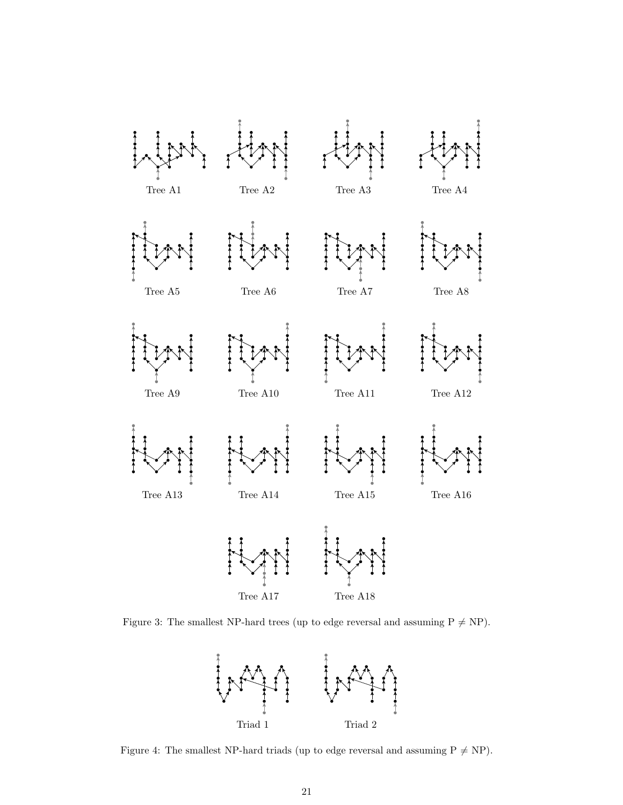

Figure 3: The smallest NP-hard trees (up to edge reversal and assuming  $P \neq NP$ ).

<span id="page-20-0"></span>

<span id="page-20-1"></span>Figure 4: The smallest NP-hard triads (up to edge reversal and assuming  $P \neq NP$ ).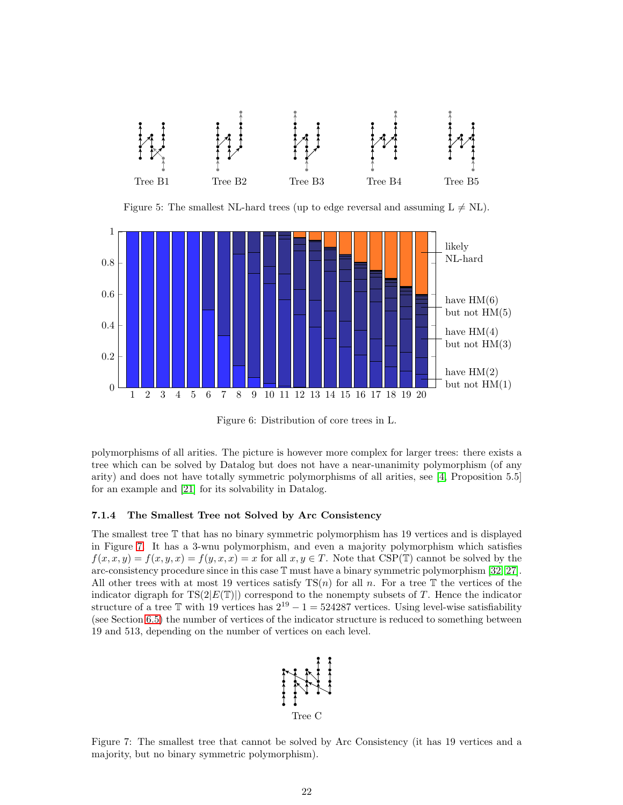

<span id="page-21-1"></span>Figure 5: The smallest NL-hard trees (up to edge reversal and assuming  $L \neq NL$ ).



<span id="page-21-2"></span>Figure 6: Distribution of core trees in L.

polymorphisms of all arities. The picture is however more complex for larger trees: there exists a tree which can be solved by Datalog but does not have a near-unanimity polymorphism (of any arity) and does not have totally symmetric polymorphisms of all arities, see [\[4,](#page-24-2) Proposition 5.5] for an example and [\[21\]](#page-25-5) for its solvability in Datalog.

#### <span id="page-21-0"></span>7.1.4 The Smallest Tree not Solved by Arc Consistency

The smallest tree T that has no binary symmetric polymorphism has 19 vertices and is displayed in Figure [7.](#page-21-3) It has a 3-wnu polymorphism, and even a majority polymorphism which satisfies  $f(x, x, y) = f(x, y, x) = f(y, x, x) = x$  for all  $x, y \in T$ . Note that CSP(T) cannot be solved by the arc-consistency procedure since in this case T must have a binary symmetric polymorphism [\[32,](#page-26-1) [27\]](#page-26-15). All other trees with at most 19 vertices satisfy  $TS(n)$  for all n. For a tree T the vertices of the indicator digraph for  $TS(2|E(T)|)$  correspond to the nonempty subsets of T. Hence the indicator structure of a tree T with 19 vertices has  $2^{19} - 1 = 524287$  vertices. Using level-wise satisfiability (see Section [6.5\)](#page-15-0) the number of vertices of the indicator structure is reduced to something between 19 and 513, depending on the number of vertices on each level.



<span id="page-21-3"></span>Figure 7: The smallest tree that cannot be solved by Arc Consistency (it has 19 vertices and a majority, but no binary symmetric polymorphism).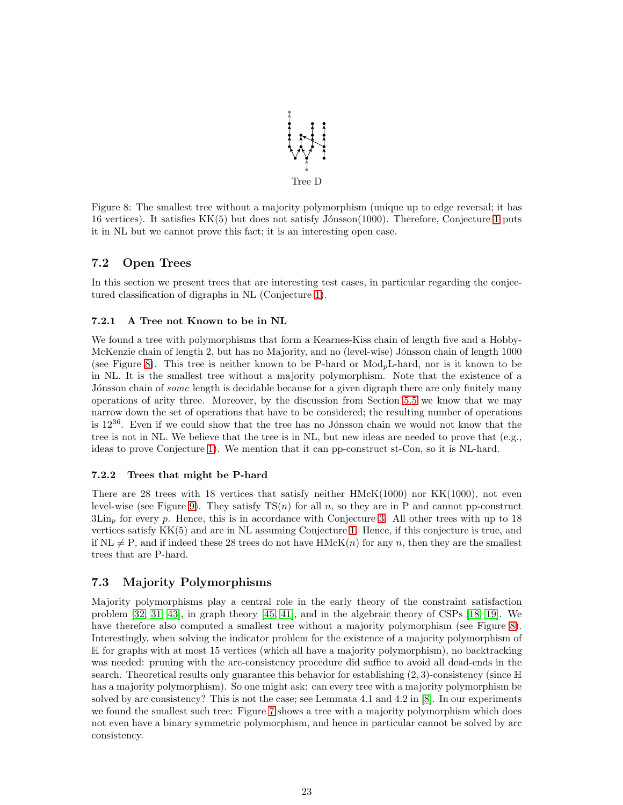

<span id="page-22-1"></span>Figure 8: The smallest tree without a majority polymorphism (unique up to edge reversal; it has 16 vertices). It satisfies  $KK(5)$  but does not satisfy Jónsson(1000). Therefore, Conjecture [1](#page-1-0) puts it in NL but we cannot prove this fact; it is an interesting open case.

## <span id="page-22-0"></span>7.2 Open Trees

In this section we present trees that are interesting test cases, in particular regarding the conjectured classification of digraphs in NL (Conjecture [1\)](#page-1-0).

#### 7.2.1 A Tree not Known to be in NL

We found a tree with polymorphisms that form a Kearnes-Kiss chain of length five and a Hobby-McKenzie chain of length 2, but has no Majority, and no (level-wise) Jónsson chain of length 1000 (see Figure [8\)](#page-22-1). This tree is neither known to be P-hard or ModpL-hard, nor is it known to be in NL. It is the smallest tree without a majority polymorphism. Note that the existence of a Jónsson chain of *some* length is decidable because for a given digraph there are only finitely many operations of arity three. Moreover, by the discussion from Section [5.5](#page-11-1) we know that we may narrow down the set of operations that have to be considered; the resulting number of operations is  $12^{36}$ . Even if we could show that the tree has no Jónsson chain we would not know that the tree is not in NL. We believe that the tree is in NL, but new ideas are needed to prove that (e.g., ideas to prove Conjecture [1\)](#page-1-0). We mention that it can pp-construct st-Con, so it is NL-hard.

#### 7.2.2 Trees that might be P-hard

There are 28 trees with 18 vertices that satisfy neither  $HMcK(1000)$  nor  $KK(1000)$ , not even level-wise (see Figure [9\)](#page-23-1). They satisfy  $TS(n)$  for all n, so they are in P and cannot pp-construct  $3\mathrm{Lin}_p$  for every p. Hence, this is in accordance with Conjecture [3.](#page-3-0) All other trees with up to 18 vertices satisfy KK(5) and are in NL assuming Conjecture [1.](#page-1-0) Hence, if this conjecture is true, and if  $NL \neq P$ , and if indeed these 28 trees do not have HMcK $(n)$  for any n, then they are the smallest trees that are P-hard.

### <span id="page-22-2"></span>7.3 Majority Polymorphisms

Majority polymorphisms play a central role in the early theory of the constraint satisfaction problem [\[32,](#page-26-1) [31,](#page-26-16) [43\]](#page-26-17), in graph theory [\[45,](#page-26-18) [41\]](#page-26-8), and in the algebraic theory of CSPs [\[18,](#page-25-16) [19\]](#page-25-1). We have therefore also computed a smallest tree without a majority polymorphism (see Figure [8\)](#page-22-1). Interestingly, when solving the indicator problem for the existence of a majority polymorphism of H for graphs with at most 15 vertices (which all have a majority polymorphism), no backtracking was needed: pruning with the arc-consistency procedure did suffice to avoid all dead-ends in the search. Theoretical results only guarantee this behavior for establishing  $(2, 3)$ -consistency (since  $\mathbb H$ has a majority polymorphism). So one might ask: can every tree with a majority polymorphism be solved by arc consistency? This is not the case; see Lemmata 4.1 and 4.2 in [\[8\]](#page-24-1). In our experiments we found the smallest such tree: Figure [7](#page-21-3) shows a tree with a majority polymorphism which does not even have a binary symmetric polymorphism, and hence in particular cannot be solved by arc consistency.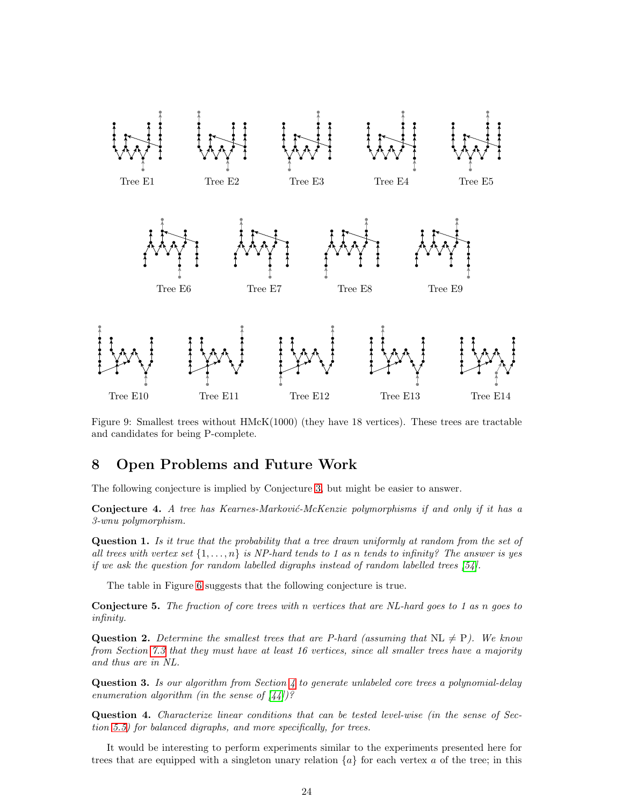

<span id="page-23-1"></span>Figure 9: Smallest trees without HMcK(1000) (they have 18 vertices). These trees are tractable and candidates for being P-complete.

## <span id="page-23-0"></span>8 Open Problems and Future Work

The following conjecture is implied by Conjecture [3,](#page-3-0) but might be easier to answer.

Conjecture 4. *A tree has Kearnes-Marković-McKenzie polymorphisms if and only if it has a 3-wnu polymorphism.*

Question 1. *Is it true that the probability that a tree drawn uniformly at random from the set of all trees with vertex set* {1, . . . , n} *is NP-hard tends to 1 as* n *tends to infinity? The answer is yes if we ask the question for random labelled digraphs instead of random labelled trees [\[54\]](#page-27-17).*

The table in Figure [6](#page-21-2) suggests that the following conjecture is true.

Conjecture 5. *The fraction of core trees with* n *vertices that are NL-hard goes to 1 as* n *goes to infinity.*

**Question 2.** Determine the smallest trees that are P-hard (assuming that  $NL \neq P$ ). We know *from Section [7.3](#page-22-2) that they must have at least 16 vertices, since all smaller trees have a majority and thus are in NL.*

Question 3. *Is our algorithm from Section [4](#page-7-0) to generate unlabeled core trees a polynomial-delay enumeration algorithm (in the sense of [\[44\]](#page-26-19))?*

Question 4. *Characterize linear conditions that can be tested level-wise (in the sense of Section [5.5\)](#page-11-1) for balanced digraphs, and more specifically, for trees.*

It would be interesting to perform experiments similar to the experiments presented here for trees that are equipped with a singleton unary relation  $\{a\}$  for each vertex a of the tree; in this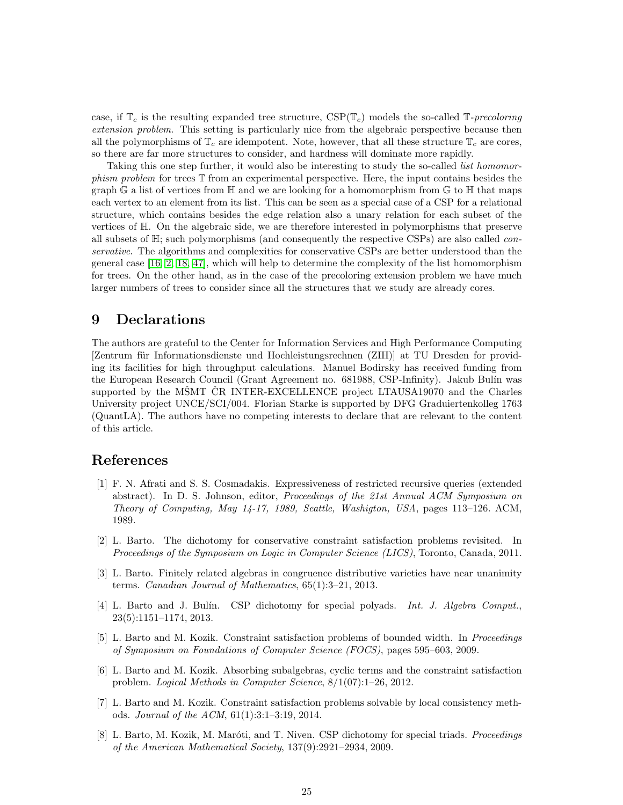case, if  $\mathbb{T}_c$  is the resulting expanded tree structure,  $CSP(\mathbb{T}_c)$  models the so-called  $\mathbb{T}_\text{-}$ *precoloring extension problem*. This setting is particularly nice from the algebraic perspective because then all the polymorphisms of  $\mathbb{T}_c$  are idempotent. Note, however, that all these structure  $\mathbb{T}_c$  are cores, so there are far more structures to consider, and hardness will dominate more rapidly.

Taking this one step further, it would also be interesting to study the so-called *list homomorphism problem* for trees T from an experimental perspective. Here, the input contains besides the graph G a list of vertices from  $\mathbb H$  and we are looking for a homomorphism from G to  $\mathbb H$  that maps each vertex to an element from its list. This can be seen as a special case of a CSP for a relational structure, which contains besides the edge relation also a unary relation for each subset of the vertices of H. On the algebraic side, we are therefore interested in polymorphisms that preserve all subsets of H; such polymorphisms (and consequently the respective CSPs) are also called *conservative*. The algorithms and complexities for conservative CSPs are better understood than the general case [\[16,](#page-25-17) [2,](#page-24-7) [18,](#page-25-16) [47\]](#page-27-9), which will help to determine the complexity of the list homomorphism for trees. On the other hand, as in the case of the precoloring extension problem we have much larger numbers of trees to consider since all the structures that we study are already cores.

## 9 Declarations

The authors are grateful to the Center for Information Services and High Performance Computing [Zentrum für Informationsdienste und Hochleistungsrechnen (ZIH)] at TU Dresden for providing its facilities for high throughput calculations. Manuel Bodirsky has received funding from the European Research Council (Grant Agreement no. 681988, CSP-Infinity). Jakub Bulín was supported by the MSMT CR INTER-EXCELLENCE project LTAUSA19070 and the Charles University project UNCE/SCI/004. Florian Starke is supported by DFG Graduiertenkolleg 1763 (QuantLA). The authors have no competing interests to declare that are relevant to the content of this article.

### <span id="page-24-5"></span>References

- [1] F. N. Afrati and S. S. Cosmadakis. Expressiveness of restricted recursive queries (extended abstract). In D. S. Johnson, editor, *Proceedings of the 21st Annual ACM Symposium on Theory of Computing, May 14-17, 1989, Seattle, Washigton, USA*, pages 113–126. ACM, 1989.
- <span id="page-24-7"></span>[2] L. Barto. The dichotomy for conservative constraint satisfaction problems revisited. In *Proceedings of the Symposium on Logic in Computer Science (LICS)*, Toronto, Canada, 2011.
- <span id="page-24-4"></span>[3] L. Barto. Finitely related algebras in congruence distributive varieties have near unanimity terms. *Canadian Journal of Mathematics*, 65(1):3–21, 2013.
- <span id="page-24-2"></span>[4] L. Barto and J. Bul´ın. CSP dichotomy for special polyads. *Int. J. Algebra Comput.*, 23(5):1151–1174, 2013.
- <span id="page-24-3"></span>[5] L. Barto and M. Kozik. Constraint satisfaction problems of bounded width. In *Proceedings of Symposium on Foundations of Computer Science (FOCS)*, pages 595–603, 2009.
- <span id="page-24-0"></span>[6] L. Barto and M. Kozik. Absorbing subalgebras, cyclic terms and the constraint satisfaction problem. *Logical Methods in Computer Science*, 8/1(07):1–26, 2012.
- <span id="page-24-6"></span>[7] L. Barto and M. Kozik. Constraint satisfaction problems solvable by local consistency methods. *Journal of the ACM*, 61(1):3:1–3:19, 2014.
- <span id="page-24-1"></span>[8] L. Barto, M. Kozik, M. Maróti, and T. Niven. CSP dichotomy for special triads. *Proceedings of the American Mathematical Society*, 137(9):2921–2934, 2009.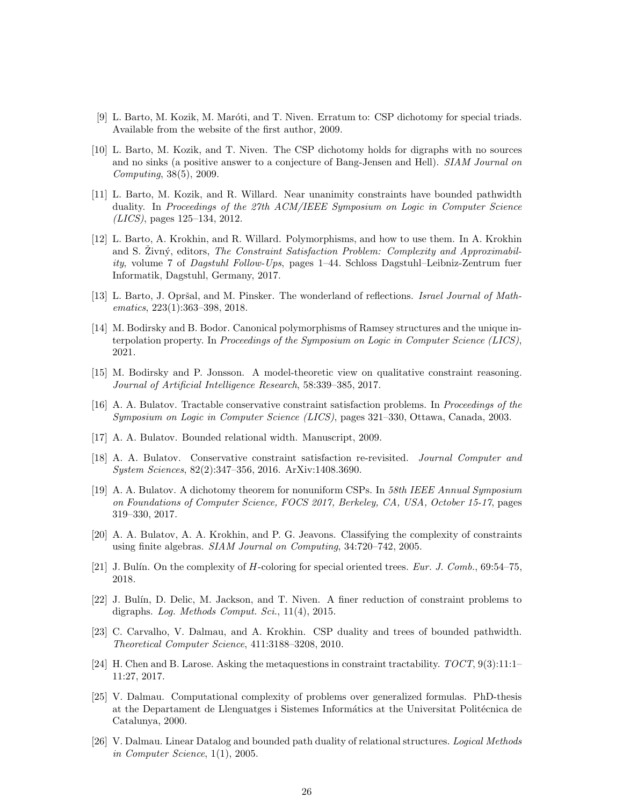- <span id="page-25-9"></span><span id="page-25-4"></span>[9] L. Barto, M. Kozik, M. Maróti, and T. Niven. Erratum to: CSP dichotomy for special triads. Available from the website of the first author, 2009.
- [10] L. Barto, M. Kozik, and T. Niven. The CSP dichotomy holds for digraphs with no sources and no sinks (a positive answer to a conjecture of Bang-Jensen and Hell). *SIAM Journal on Computing*, 38(5), 2009.
- <span id="page-25-13"></span>[11] L. Barto, M. Kozik, and R. Willard. Near unanimity constraints have bounded pathwidth duality. In *Proceedings of the 27th ACM/IEEE Symposium on Logic in Computer Science (LICS)*, pages 125–134, 2012.
- <span id="page-25-2"></span>[12] L. Barto, A. Krokhin, and R. Willard. Polymorphisms, and how to use them. In A. Krokhin and S. Zivný, editors, *The Constraint Satisfaction Problem: Complexity and Approximability*, volume 7 of *Dagstuhl Follow-Ups*, pages 1–44. Schloss Dagstuhl–Leibniz-Zentrum fuer Informatik, Dagstuhl, Germany, 2017.
- <span id="page-25-7"></span>[13] L. Barto, J. Opršal, and M. Pinsker. The wonderland of reflections. *Israel Journal of Mathematics*, 223(1):363–398, 2018.
- <span id="page-25-10"></span>[14] M. Bodirsky and B. Bodor. Canonical polymorphisms of Ramsey structures and the unique interpolation property. In *Proceedings of the Symposium on Logic in Computer Science (LICS)*, 2021.
- <span id="page-25-17"></span><span id="page-25-11"></span>[15] M. Bodirsky and P. Jonsson. A model-theoretic view on qualitative constraint reasoning. *Journal of Artificial Intelligence Research*, 58:339–385, 2017.
- [16] A. A. Bulatov. Tractable conservative constraint satisfaction problems. In *Proceedings of the Symposium on Logic in Computer Science (LICS)*, pages 321–330, Ottawa, Canada, 2003.
- <span id="page-25-16"></span><span id="page-25-8"></span>[17] A. A. Bulatov. Bounded relational width. Manuscript, 2009.
- [18] A. A. Bulatov. Conservative constraint satisfaction re-revisited. *Journal Computer and System Sciences*, 82(2):347–356, 2016. ArXiv:1408.3690.
- <span id="page-25-1"></span>[19] A. A. Bulatov. A dichotomy theorem for nonuniform CSPs. In *58th IEEE Annual Symposium on Foundations of Computer Science, FOCS 2017, Berkeley, CA, USA, October 15-17*, pages 319–330, 2017.
- <span id="page-25-12"></span>[20] A. A. Bulatov, A. A. Krokhin, and P. G. Jeavons. Classifying the complexity of constraints using finite algebras. *SIAM Journal on Computing*, 34:720–742, 2005.
- <span id="page-25-5"></span><span id="page-25-0"></span>[21] J. Bulín. On the complexity of H-coloring for special oriented trees. *Eur. J. Comb.*, 69:54-75, 2018.
- [22] J. Bulín, D. Delic, M. Jackson, and T. Niven. A finer reduction of constraint problems to digraphs. *Log. Methods Comput. Sci.*, 11(4), 2015.
- <span id="page-25-15"></span>[23] C. Carvalho, V. Dalmau, and A. Krokhin. CSP duality and trees of bounded pathwidth. *Theoretical Computer Science*, 411:3188–3208, 2010.
- <span id="page-25-3"></span>[24] H. Chen and B. Larose. Asking the metaquestions in constraint tractability. *TOCT*, 9(3):11:1– 11:27, 2017.
- <span id="page-25-6"></span>[25] V. Dalmau. Computational complexity of problems over generalized formulas. PhD-thesis at the Departament de Llenguatges i Sistemes Informátics at the Universitat Politécnica de Catalunya, 2000.
- <span id="page-25-14"></span>[26] V. Dalmau. Linear Datalog and bounded path duality of relational structures. *Logical Methods in Computer Science*, 1(1), 2005.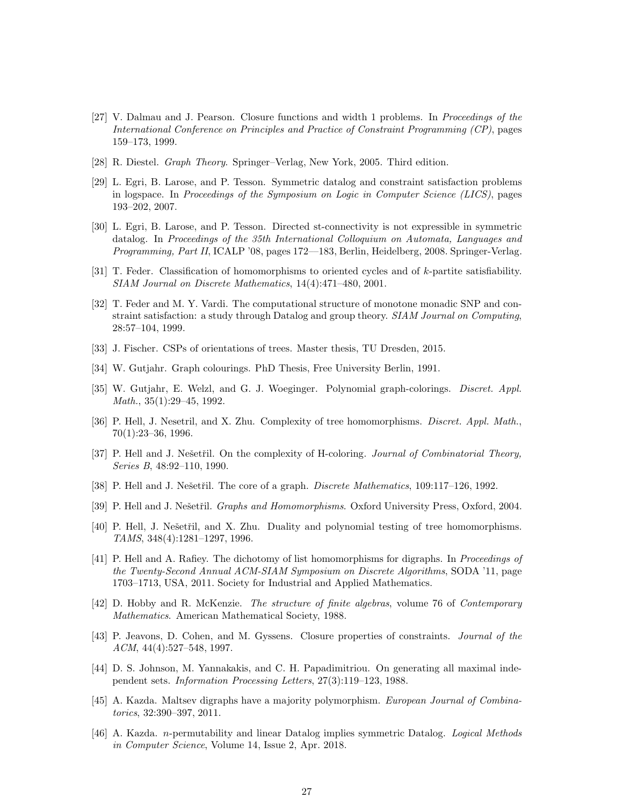- <span id="page-26-15"></span>[27] V. Dalmau and J. Pearson. Closure functions and width 1 problems. In *Proceedings of the International Conference on Principles and Practice of Constraint Programming (CP)*, pages 159–173, 1999.
- <span id="page-26-11"></span><span id="page-26-2"></span>[28] R. Diestel. *Graph Theory*. Springer–Verlag, New York, 2005. Third edition.
- [29] L. Egri, B. Larose, and P. Tesson. Symmetric datalog and constraint satisfaction problems in logspace. In *Proceedings of the Symposium on Logic in Computer Science (LICS)*, pages 193–202, 2007.
- <span id="page-26-14"></span>[30] L. Egri, B. Larose, and P. Tesson. Directed st-connectivity is not expressible in symmetric datalog. In *Proceedings of the 35th International Colloquium on Automata, Languages and Programming, Part II*, ICALP '08, pages 172––183, Berlin, Heidelberg, 2008. Springer-Verlag.
- <span id="page-26-16"></span>[31] T. Feder. Classification of homomorphisms to oriented cycles and of k-partite satisfiability. *SIAM Journal on Discrete Mathematics*, 14(4):471–480, 2001.
- <span id="page-26-1"></span>[32] T. Feder and M. Y. Vardi. The computational structure of monotone monadic SNP and constraint satisfaction: a study through Datalog and group theory. *SIAM Journal on Computing*, 28:57–104, 1999.
- <span id="page-26-7"></span><span id="page-26-5"></span>[33] J. Fischer. CSPs of orientations of trees. Master thesis, TU Dresden, 2015.
- <span id="page-26-4"></span>[34] W. Gutjahr. Graph colourings. PhD Thesis, Free University Berlin, 1991.
- [35] W. Gutjahr, E. Welzl, and G. J. Woeginger. Polynomial graph-colorings. *Discret. Appl. Math.*, 35(1):29–45, 1992.
- <span id="page-26-6"></span>[36] P. Hell, J. Nesetril, and X. Zhu. Complexity of tree homomorphisms. *Discret. Appl. Math.*, 70(1):23–36, 1996.
- <span id="page-26-0"></span>[37] P. Hell and J. Nešetřil. On the complexity of H-coloring. *Journal of Combinatorial Theory*, *Series B*, 48:92–110, 1990.
- <span id="page-26-12"></span><span id="page-26-10"></span>[38] P. Hell and J. Nešetřil. The core of a graph. *Discrete Mathematics*, 109:117–126, 1992.
- <span id="page-26-9"></span>[39] P. Hell and J. Nešetřil. *Graphs and Homomorphisms*. Oxford University Press, Oxford, 2004.
- [40] P. Hell, J. Nešetřil, and X. Zhu. Duality and polynomial testing of tree homomorphisms. *TAMS*, 348(4):1281–1297, 1996.
- <span id="page-26-8"></span>[41] P. Hell and A. Rafiey. The dichotomy of list homomorphisms for digraphs. In *Proceedings of the Twenty-Second Annual ACM-SIAM Symposium on Discrete Algorithms*, SODA '11, page 1703–1713, USA, 2011. Society for Industrial and Applied Mathematics.
- <span id="page-26-13"></span>[42] D. Hobby and R. McKenzie. *The structure of finite algebras*, volume 76 of *Contemporary Mathematics*. American Mathematical Society, 1988.
- <span id="page-26-17"></span>[43] P. Jeavons, D. Cohen, and M. Gyssens. Closure properties of constraints. *Journal of the ACM*, 44(4):527–548, 1997.
- <span id="page-26-19"></span>[44] D. S. Johnson, M. Yannakakis, and C. H. Papadimitriou. On generating all maximal independent sets. *Information Processing Letters*, 27(3):119–123, 1988.
- <span id="page-26-18"></span>[45] A. Kazda. Maltsev digraphs have a majority polymorphism. *European Journal of Combinatorics*, 32:390–397, 2011.
- <span id="page-26-3"></span>[46] A. Kazda. n-permutability and linear Datalog implies symmetric Datalog. *Logical Methods in Computer Science*, Volume 14, Issue 2, Apr. 2018.